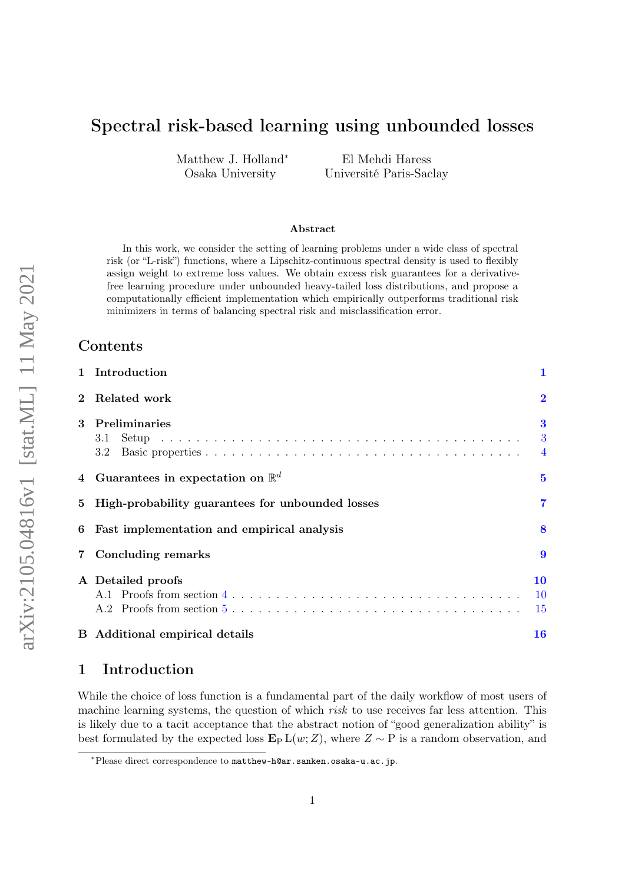# Spectral risk-based learning using unbounded losses

Matthew J. Holland<sup>∗</sup> Osaka University

El Mehdi Haress Université Paris-Saclay

#### Abstract

In this work, we consider the setting of learning problems under a wide class of spectral risk (or "L-risk") functions, where a Lipschitz-continuous spectral density is used to flexibly assign weight to extreme loss values. We obtain excess risk guarantees for a derivativefree learning procedure under unbounded heavy-tailed loss distributions, and propose a computationally efficient implementation which empirically outperforms traditional risk minimizers in terms of balancing spectral risk and misclassification error.

#### Contents

|              | 1 Introduction                                   | 1                               |
|--------------|--------------------------------------------------|---------------------------------|
| $\mathbf{2}$ | Related work                                     | $\overline{\mathbf{2}}$         |
| 3            | Preliminaries<br>3.1<br>3.2                      | $\bf{3}$<br>3<br>$\overline{4}$ |
|              | Guarantees in expectation on $\mathbb{R}^d$      | $\bf{5}$                        |
| 5            | High-probability guarantees for unbounded losses | 7                               |
| 6            | Fast implementation and empirical analysis       | 8                               |
| $7\,$        | Concluding remarks                               | 9                               |
|              | A Detailed proofs                                | 10<br>10<br>15                  |
|              | <b>B</b> Additional empirical details            | <b>16</b>                       |

# <span id="page-0-0"></span>1 Introduction

While the choice of loss function is a fundamental part of the daily workflow of most users of machine learning systems, the question of which *risk* to use receives far less attention. This is likely due to a tacit acceptance that the abstract notion of "good generalization ability" is best formulated by the expected loss  $\mathbf{E}_{P} L(w;Z)$ , where  $Z \sim P$  is a random observation, and

<sup>∗</sup>Please direct correspondence to matthew-h@ar.sanken.osaka-u.ac.jp.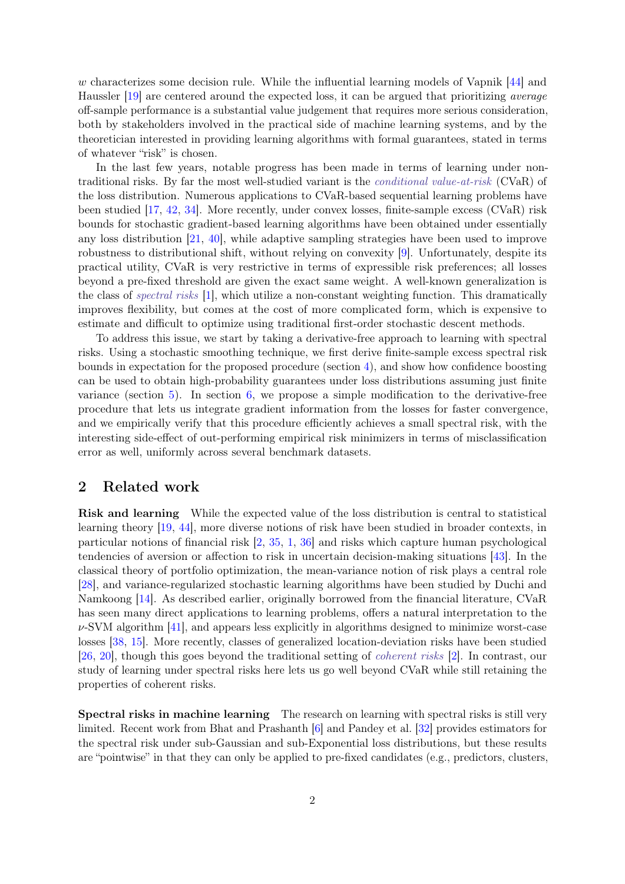w characterizes some decision rule. While the influential learning models of Vapnik [\[44\]](#page-18-0) and Haussler [\[19\]](#page-17-0) are centered around the expected loss, it can be argued that prioritizing average off-sample performance is a substantial value judgement that requires more serious consideration, both by stakeholders involved in the practical side of machine learning systems, and by the theoretician interested in providing learning algorithms with formal guarantees, stated in terms of whatever "risk" is chosen.

In the last few years, notable progress has been made in terms of learning under nontraditional risks. By far the most well-studied variant is the conditional value-at-risk (CVaR) of the loss distribution. Numerous applications to CVaR-based sequential learning problems have been studied [\[17,](#page-17-1) [42,](#page-18-1) [34\]](#page-18-2). More recently, under convex losses, finite-sample excess (CVaR) risk bounds for stochastic gradient-based learning algorithms have been obtained under essentially any loss distribution [\[21,](#page-17-2) [40\]](#page-18-3), while adaptive sampling strategies have been used to improve robustness to distributional shift, without relying on convexity [\[9\]](#page-16-0). Unfortunately, despite its practical utility, CVaR is very restrictive in terms of expressible risk preferences; all losses beyond a pre-fixed threshold are given the exact same weight. A well-known generalization is the class of spectral risks [\[1\]](#page-16-1), which utilize a non-constant weighting function. This dramatically improves flexibility, but comes at the cost of more complicated form, which is expensive to estimate and difficult to optimize using traditional first-order stochastic descent methods.

To address this issue, we start by taking a derivative-free approach to learning with spectral risks. Using a stochastic smoothing technique, we first derive finite-sample excess spectral risk bounds in expectation for the proposed procedure (section [4\)](#page-4-0), and show how confidence boosting can be used to obtain high-probability guarantees under loss distributions assuming just finite variance (section  $5$ ). In section  $6$ , we propose a simple modification to the derivative-free procedure that lets us integrate gradient information from the losses for faster convergence, and we empirically verify that this procedure efficiently achieves a small spectral risk, with the interesting side-effect of out-performing empirical risk minimizers in terms of misclassification error as well, uniformly across several benchmark datasets.

### <span id="page-1-0"></span>2 Related work

Risk and learning While the expected value of the loss distribution is central to statistical learning theory [\[19,](#page-17-0) [44\]](#page-18-0), more diverse notions of risk have been studied in broader contexts, in particular notions of financial risk [\[2,](#page-16-2) [35,](#page-18-4) [1,](#page-16-1) [36\]](#page-18-5) and risks which capture human psychological tendencies of aversion or affection to risk in uncertain decision-making situations [\[43\]](#page-18-6). In the classical theory of portfolio optimization, the mean-variance notion of risk plays a central role [\[28\]](#page-17-3), and variance-regularized stochastic learning algorithms have been studied by Duchi and Namkoong [\[14\]](#page-16-3). As described earlier, originally borrowed from the financial literature, CVaR has seen many direct applications to learning problems, offers a natural interpretation to the  $\nu$ -SVM algorithm [\[41\]](#page-18-7), and appears less explicitly in algorithms designed to minimize worst-case losses [\[38,](#page-18-8) [15\]](#page-16-4). More recently, classes of generalized location-deviation risks have been studied [\[26,](#page-17-4) [20\]](#page-17-5), though this goes beyond the traditional setting of coherent risks [\[2\]](#page-16-2). In contrast, our study of learning under spectral risks here lets us go well beyond CVaR while still retaining the properties of coherent risks.

Spectral risks in machine learning The research on learning with spectral risks is still very limited. Recent work from Bhat and Prashanth [\[6\]](#page-16-5) and Pandey et al. [\[32\]](#page-17-6) provides estimators for the spectral risk under sub-Gaussian and sub-Exponential loss distributions, but these results are "pointwise" in that they can only be applied to pre-fixed candidates (e.g., predictors, clusters,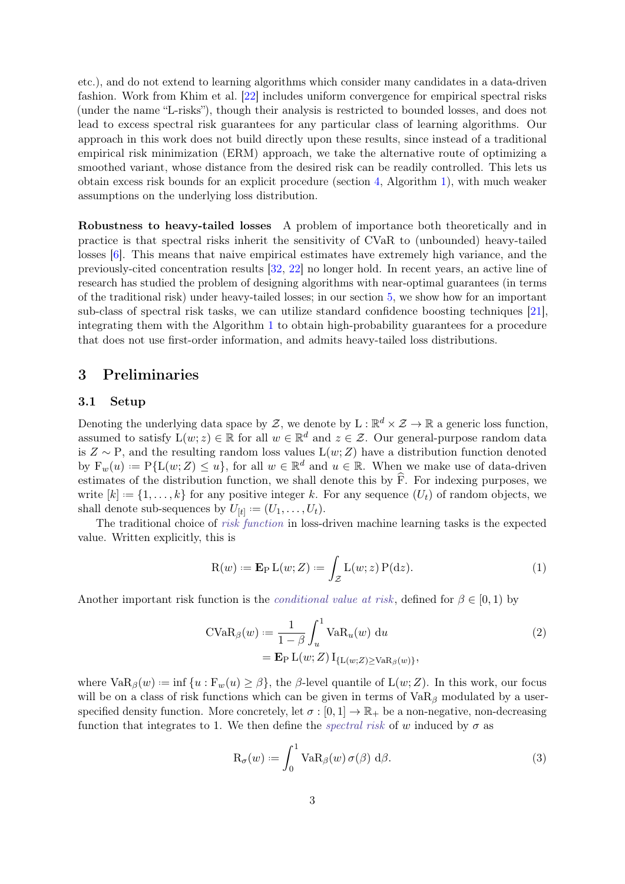etc.), and do not extend to learning algorithms which consider many candidates in a data-driven fashion. Work from Khim et al. [\[22\]](#page-17-7) includes uniform convergence for empirical spectral risks (under the name "L-risks"), though their analysis is restricted to bounded losses, and does not lead to excess spectral risk guarantees for any particular class of learning algorithms. Our approach in this work does not build directly upon these results, since instead of a traditional empirical risk minimization (ERM) approach, we take the alternative route of optimizing a smoothed variant, whose distance from the desired risk can be readily controlled. This lets us obtain excess risk bounds for an explicit procedure (section [4,](#page-4-0) Algorithm [1\)](#page-4-1), with much weaker assumptions on the underlying loss distribution.

Robustness to heavy-tailed losses A problem of importance both theoretically and in practice is that spectral risks inherit the sensitivity of CVaR to (unbounded) heavy-tailed losses [\[6\]](#page-16-5). This means that naive empirical estimates have extremely high variance, and the previously-cited concentration results [\[32,](#page-17-6) [22\]](#page-17-7) no longer hold. In recent years, an active line of research has studied the problem of designing algorithms with near-optimal guarantees (in terms of the traditional risk) under heavy-tailed losses; in our section [5,](#page-6-0) we show how for an important sub-class of spectral risk tasks, we can utilize standard confidence boosting techniques [\[21\]](#page-17-2), integrating them with the Algorithm [1](#page-4-1) to obtain high-probability guarantees for a procedure that does not use first-order information, and admits heavy-tailed loss distributions.

#### <span id="page-2-0"></span>3 Preliminaries

#### <span id="page-2-1"></span>3.1 Setup

Denoting the underlying data space by Z, we denote by  $L : \mathbb{R}^d \times \mathcal{Z} \to \mathbb{R}$  a generic loss function, assumed to satisfy  $L(w; z) \in \mathbb{R}$  for all  $w \in \mathbb{R}^d$  and  $z \in \mathcal{Z}$ . Our general-purpose random data is  $Z \sim P$ , and the resulting random loss values  $L(w; Z)$  have a distribution function denoted by  $F_w(u) := P\{L(w; Z) \leq u\}$ , for all  $w \in \mathbb{R}^d$  and  $u \in \mathbb{R}$ . When we make use of data-driven estimates of the distribution function, we shall denote this by  $\hat{F}$ . For indexing purposes, we write  $[k] := \{1, \ldots, k\}$  for any positive integer k. For any sequence  $(U_t)$  of random objects, we shall denote sub-sequences by  $U_{[t]} := (U_1, \ldots, U_t)$ .

The traditional choice of *risk function* in loss-driven machine learning tasks is the expected value. Written explicitly, this is

$$
R(w) := \mathbf{E}_{P} L(w; Z) := \int_{Z} L(w; z) P(dz).
$$
 (1)

Another important risk function is the *conditional value at risk*, defined for  $\beta \in [0,1)$  by

$$
\text{CVaR}_{\beta}(w) := \frac{1}{1 - \beta} \int_{u}^{1} \text{VaR}_{u}(w) \, \text{d}u
$$
\n
$$
= \mathbf{E}_{\text{P}} \, \text{L}(w; Z) \, \text{I}_{\{\text{L}(w; Z) \ge \text{VaR}_{\beta}(w)\}},
$$
\n(2)

where  $\text{VaR}_{\beta}(w) := \inf \{u : \mathcal{F}_w(u) \geq \beta\}$ , the  $\beta$ -level quantile of  $\mathcal{L}(w; Z)$ . In this work, our focus will be on a class of risk functions which can be given in terms of  $VaR<sub>β</sub>$  modulated by a userspecified density function. More concretely, let  $\sigma : [0,1] \to \mathbb{R}_+$  be a non-negative, non-decreasing function that integrates to 1. We then define the *spectral risk* of w induced by  $\sigma$  as

<span id="page-2-3"></span><span id="page-2-2"></span>
$$
R_{\sigma}(w) := \int_0^1 V a R_{\beta}(w) \sigma(\beta) d\beta.
$$
 (3)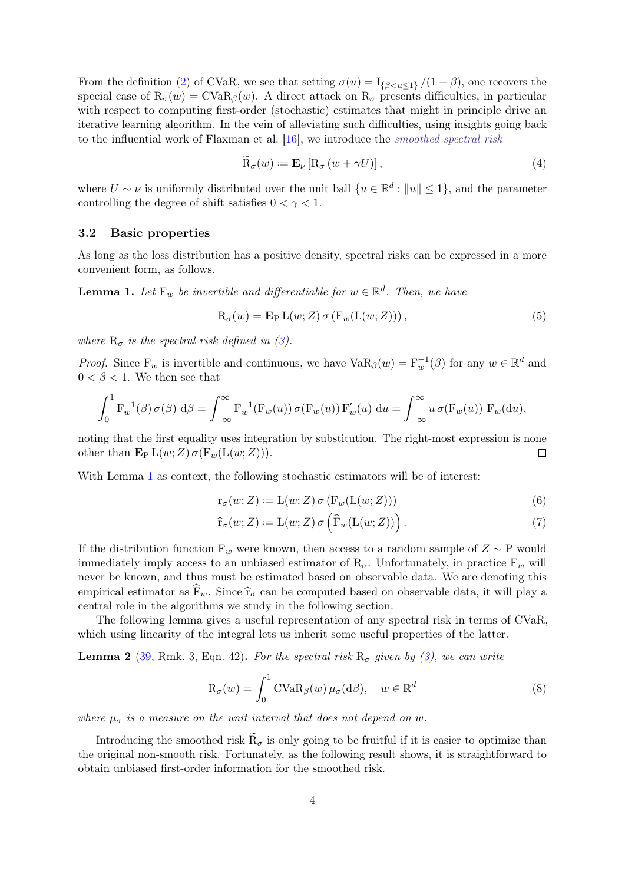From the definition [\(2\)](#page-2-2) of CVaR, we see that setting  $\sigma(u) = I_{\{\beta \leq u \leq 1\}}/(1-\beta)$ , one recovers the special case of  $R_{\sigma}(w) = \text{CVaR}_{\beta}(w)$ . A direct attack on  $R_{\sigma}$  presents difficulties, in particular with respect to computing first-order (stochastic) estimates that might in principle drive an iterative learning algorithm. In the vein of alleviating such difficulties, using insights going back to the influential work of Flaxman et al. [\[16\]](#page-16-6), we introduce the smoothed spectral risk

<span id="page-3-2"></span>
$$
\widetilde{\mathcal{R}}_{\sigma}(w) := \mathbf{E}_{\nu} \left[ \mathcal{R}_{\sigma} \left( w + \gamma U \right) \right],\tag{4}
$$

where  $U \sim \nu$  is uniformly distributed over the unit ball  $\{u \in \mathbb{R}^d : ||u|| \leq 1\}$ , and the parameter controlling the degree of shift satisfies  $0 < \gamma < 1$ .

#### <span id="page-3-0"></span>3.2 Basic properties

As long as the loss distribution has a positive density, spectral risks can be expressed in a more convenient form, as follows.

<span id="page-3-1"></span>**Lemma 1.** Let  $F_w$  be invertible and differentiable for  $w \in \mathbb{R}^d$ . Then, we have

$$
R_{\sigma}(w) = \mathbf{E}_{P} L(w; Z) \sigma(F_{w}(L(w; Z))), \qquad (5)
$$

where  $R_{\sigma}$  is the spectral risk defined in [\(3\)](#page-2-3).

*Proof.* Since  $F_w$  is invertible and continuous, we have  $VaR_\beta(w) = F_w^{-1}(\beta)$  for any  $w \in \mathbb{R}^d$  and  $0 < \beta < 1$ . We then see that

$$
\int_0^1 \mathbf{F}_w^{-1}(\beta) \,\sigma(\beta) \,d\beta = \int_{-\infty}^\infty \mathbf{F}_w^{-1}(\mathbf{F}_w(u)) \,\sigma(\mathbf{F}_w(u)) \,\mathbf{F}_w'(u) \,du = \int_{-\infty}^\infty u \,\sigma(\mathbf{F}_w(u)) \,\mathbf{F}_w(\mathrm{d}u),
$$

noting that the first equality uses integration by substitution. The right-most expression is none other than  $\mathbf{E}_{\mathbf{P}} L(w;Z) \sigma(\mathbf{F}_w(L(w;Z))).$  $\Box$ 

With Lemma [1](#page-3-1) as context, the following stochastic estimators will be of interest:

<span id="page-3-3"></span>
$$
r_{\sigma}(w; Z) := L(w; Z) \sigma(F_w(L(w; Z)))
$$
\n(6)

$$
\widehat{\mathbf{r}}_{\sigma}(w;Z) := \mathcal{L}(w;Z) \,\sigma\left(\widehat{\mathbf{F}}_w(\mathcal{L}(w;Z))\right). \tag{7}
$$

If the distribution function  $F_w$  were known, then access to a random sample of  $Z \sim P$  would immediately imply access to an unbiased estimator of  $R_{\sigma}$ . Unfortunately, in practice  $F_{w}$  will never be known, and thus must be estimated based on observable data. We are denoting this empirical estimator as  $F_w$ . Since  $\hat{r}_{\sigma}$  can be computed based on observable data, it will play a central role in the algorithms we study in the following section.

The following lemma gives a useful representation of any spectral risk in terms of CVaR, which using linearity of the integral lets us inherit some useful properties of the latter.

**Lemma 2** [\(39,](#page-18-9) Rmk. 3, Eqn. 42). For the spectral risk  $R_{\sigma}$  given by [\(3\)](#page-2-3), we can write

<span id="page-3-4"></span>
$$
R_{\sigma}(w) = \int_0^1 \text{CVaR}_{\beta}(w) \,\mu_{\sigma}(d\beta), \quad w \in \mathbb{R}^d \tag{8}
$$

where  $\mu_{\sigma}$  is a measure on the unit interval that does not depend on w.

Introducing the smoothed risk  $R_{\sigma}$  is only going to be fruitful if it is easier to optimize than the original non-smooth risk. Fortunately, as the following result shows, it is straightforward to obtain unbiased first-order information for the smoothed risk.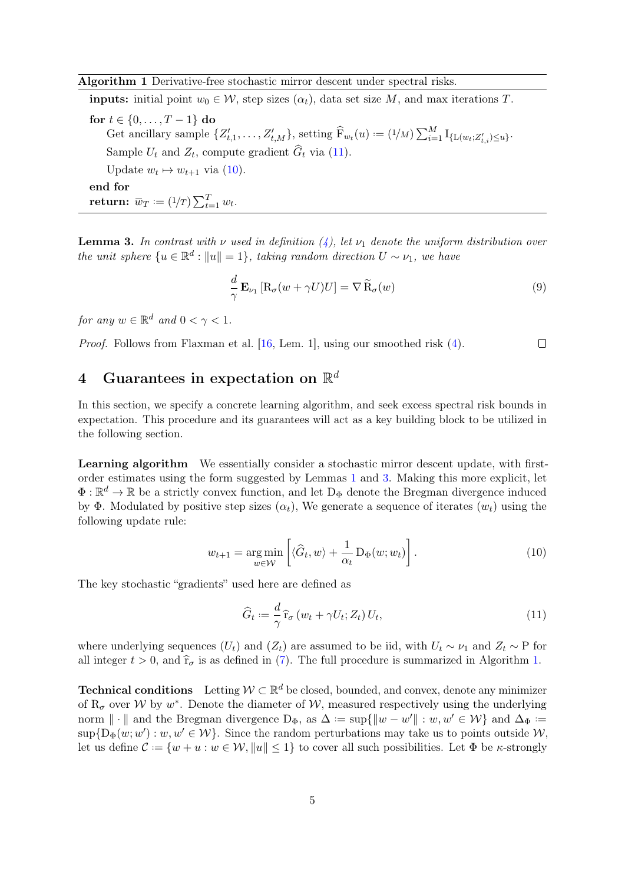<span id="page-4-1"></span>**inputs:** initial point  $w_0 \in \mathcal{W}$ , step sizes  $(\alpha_t)$ , data set size M, and max iterations T. for  $t \in \{0, ..., T-1\}$  do Get ancillary sample  $\{Z'_{t,1},\ldots,Z'_{t,M}\}$ , setting  $\widehat{F}_{w_t}(u) := (1/M) \sum_{i=1}^M I_{\{L(w_t;Z'_{t,i}) \leq u\}}$ . Sample  $U_t$  and  $Z_t$ , compute gradient  $G_t$  via [\(11\)](#page-4-2). Update  $w_t \mapsto w_{t+1}$  via [\(10\)](#page-4-3). end for return:  $\overline{w}_T := (1/T) \sum_{t=1}^T w_t$ .

<span id="page-4-4"></span>**Lemma 3.** In contrast with v used in definition  $(4)$ , let  $\nu_1$  denote the uniform distribution over the unit sphere  $\{u \in \mathbb{R}^d : ||u|| = 1\}$ , taking random direction  $U \sim \nu_1$ , we have

<span id="page-4-5"></span>
$$
\frac{d}{\gamma} \mathbf{E}_{\nu_1} \left[ \mathbf{R}_{\sigma} (w + \gamma U) U \right] = \nabla \widetilde{\mathbf{R}}_{\sigma} (w) \tag{9}
$$

for any  $w \in \mathbb{R}^d$  and  $0 < \gamma < 1$ .

Proof. Follows from Flaxman et al. [\[16,](#page-16-6) Lem. 1], using our smoothed risk [\(4\)](#page-3-2).  $\Box$ 

# <span id="page-4-0"></span> $4$  Guarantees in expectation on  $\mathbb{R}^d$

In this section, we specify a concrete learning algorithm, and seek excess spectral risk bounds in expectation. This procedure and its guarantees will act as a key building block to be utilized in the following section.

Learning algorithm We essentially consider a stochastic mirror descent update, with firstorder estimates using the form suggested by Lemmas [1](#page-3-1) and [3.](#page-4-4) Making this more explicit, let  $\Phi: \mathbb{R}^d \to \mathbb{R}$  be a strictly convex function, and let  $D_{\Phi}$  denote the Bregman divergence induced by Φ. Modulated by positive step sizes  $(\alpha_t)$ , We generate a sequence of iterates  $(w_t)$  using the following update rule:

$$
w_{t+1} = \underset{w \in \mathcal{W}}{\arg \min} \left[ \langle \widehat{G}_t, w \rangle + \frac{1}{\alpha_t} \, \mathcal{D}_{\Phi}(w; w_t) \right]. \tag{10}
$$

The key stochastic "gradients" used here are defined as

<span id="page-4-3"></span><span id="page-4-2"></span>
$$
\widehat{G}_t := \frac{d}{\gamma} \widehat{\mathbf{r}}_\sigma \left( w_t + \gamma U_t; Z_t \right) U_t,\tag{11}
$$

where underlying sequences  $(U_t)$  and  $(Z_t)$  are assumed to be iid, with  $U_t \sim \nu_1$  and  $Z_t \sim \text{P}$  for all integer  $t > 0$ , and  $\hat{r}_{\sigma}$  is as defined in [\(7\)](#page-3-3). The full procedure is summarized in Algorithm [1.](#page-4-1)

**Technical conditions** Letting  $W \subset \mathbb{R}^d$  be closed, bounded, and convex, denote any minimizer of  $R_{\sigma}$  over W by  $w^*$ . Denote the diameter of W, measured respectively using the underlying norm  $\|\cdot\|$  and the Bregman divergence  $D_{\Phi}$ , as  $\Delta := \sup\{\|w - w'\| : w, w' \in \mathcal{W}\}\$ and  $\Delta_{\Phi} :=$  $\sup\{\mathrm{D}_{\Phi}(w; w'): w, w'\in\mathcal{W}\}\.$  Since the random perturbations may take us to points outside  $\mathcal{W},$ let us define  $\mathcal{C} := \{w + u : w \in \mathcal{W}, ||u|| \leq 1\}$  to cover all such possibilities. Let  $\Phi$  be *κ*-strongly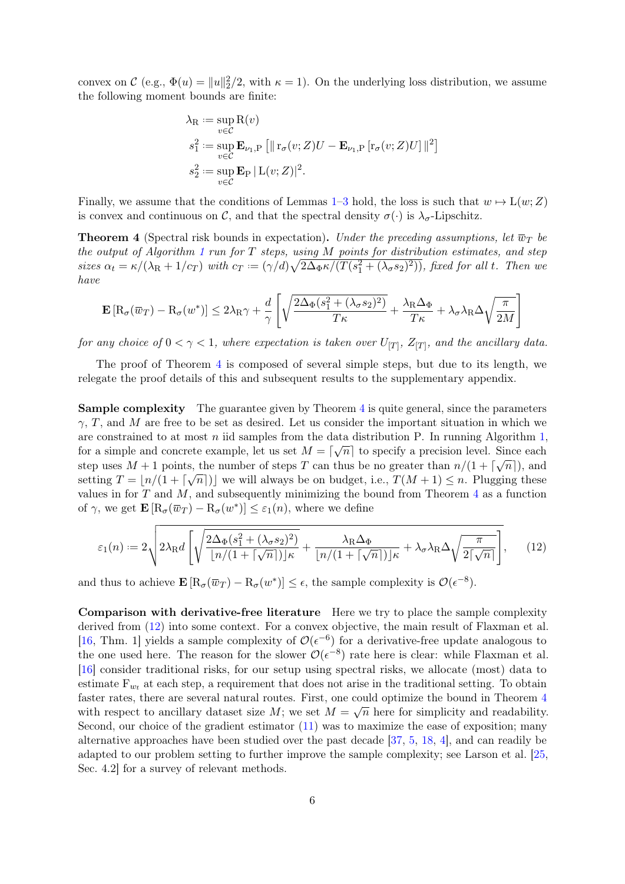convex on  $\mathcal{C}$  (e.g.,  $\Phi(u) = ||u||_2^2/2$ , with  $\kappa = 1$ ). On the underlying loss distribution, we assume the following moment bounds are finite:

$$
\lambda_{\mathcal{R}} := \sup_{v \in \mathcal{C}} \mathcal{R}(v)
$$
  
\n
$$
s_1^2 := \sup_{v \in \mathcal{C}} \mathbf{E}_{\nu_1, \mathcal{P}} [\|\mathbf{r}_{\sigma}(v; Z)U - \mathbf{E}_{\nu_1, \mathcal{P}} [\mathbf{r}_{\sigma}(v; Z)U] \|^{2}]
$$
  
\n
$$
s_2^2 := \sup_{v \in \mathcal{C}} \mathbf{E}_{\mathcal{P}} |L(v; Z)|^{2}.
$$

Finally, we assume that the conditions of Lemmas [1–](#page-3-1)[3](#page-4-4) hold, the loss is such that  $w \mapsto L(w;Z)$ is convex and continuous on C, and that the spectral density  $\sigma(\cdot)$  is  $\lambda_{\sigma}$ -Lipschitz.

<span id="page-5-0"></span>**Theorem 4** (Spectral risk bounds in expectation). Under the preceding assumptions, let  $\overline{w}_T$  be the output of Algorithm [1](#page-4-1) run for  $T$  steps, using  $M$  points for distribution estimates, and step sizes  $\alpha_t = \kappa/(\lambda_R + 1/c_T)$  with  $c_T = (\gamma/d)\sqrt{2\Delta_{\Phi}\kappa/(T(s_1^2 + (\lambda_{\sigma}s_2)^2))}$ , fixed for all t. Then we have

$$
\mathbf{E}\left[\mathbf{R}_{\sigma}(\overline{w}_{T}) - \mathbf{R}_{\sigma}(w^*)\right] \le 2\lambda_{\textrm{R}}\gamma + \frac{d}{\gamma} \left[ \sqrt{\frac{2\Delta_{\Phi}(s_{1}^2 + (\lambda_{\sigma}s_{2})^2)}{T\kappa}} + \frac{\lambda_{\textrm{R}}\Delta_{\Phi}}{T\kappa} + \lambda_{\sigma}\lambda_{\textrm{R}}\Delta\sqrt{\frac{\pi}{2M}} \right]
$$

for any choice of  $0 < \gamma < 1$ , where expectation is taken over  $U_{[T]}$ ,  $Z_{[T]}$ , and the ancillary data.

The proof of Theorem [4](#page-5-0) is composed of several simple steps, but due to its length, we relegate the proof details of this and subsequent results to the supplementary appendix.

Sample complexity The guarantee given by Theorem [4](#page-5-0) is quite general, since the parameters  $\gamma$ , T, and M are free to be set as desired. Let us consider the important situation in which we are constrained to at most n iid samples from the data distribution P. In running Algorithm [1,](#page-4-1) for a simple and concrete example, let us set  $M = \lceil \sqrt{n} \rceil$  to specify a precision level. Since each step uses  $M + 1$  points, the number of steps T can thus be no greater than  $n/(1 + \lceil \sqrt{n} \rceil)$ , and setting  $T = \lfloor n/(1 + \lceil \sqrt{n} \rceil) \rfloor$  we will always be on budget, i.e.,  $T(M + 1) \leq n$ . Plugging these values in for  $T$  and  $M$ , and subsequently minimizing the bound from Theorem [4](#page-5-0) as a function of  $\gamma$ , we get  $\mathbf{E}\left[\mathbf{R}_{\sigma}(\overline{w}_T) - \mathbf{R}_{\sigma}(w^*)\right] \leq \varepsilon_1(n)$ , where we define

<span id="page-5-1"></span>
$$
\varepsilon_1(n) := 2\sqrt{2\lambda_{\rm R}d\left[\sqrt{\frac{2\Delta_{\Phi}(s_1^2 + (\lambda_{\sigma}s_2)^2)}{\lfloor n/(1 + \lceil \sqrt{n} \rceil)\rfloor \kappa} + \frac{\lambda_{\rm R}\Delta_{\Phi}}{\lfloor n/(1 + \lceil \sqrt{n} \rceil)\rfloor \kappa} + \lambda_{\sigma}\lambda_{\rm R}\Delta_{\sqrt{\frac{\pi}{2\lceil \sqrt{n} \rceil}}}}\right]},
$$
(12)

and thus to achieve  $\mathbf{E}\left[\mathbf{R}_{\sigma}(\overline{w}_T) - \mathbf{R}_{\sigma}(w^*)\right] \leq \epsilon$ , the sample complexity is  $\mathcal{O}(\epsilon^{-8})$ .

Comparison with derivative-free literature Here we try to place the sample complexity derived from [\(12\)](#page-5-1) into some context. For a convex objective, the main result of Flaxman et al. [\[16,](#page-16-6) Thm. 1] yields a sample complexity of  $\mathcal{O}(\epsilon^{-6})$  for a derivative-free update analogous to the one used here. The reason for the slower  $\mathcal{O}(\epsilon^{-8})$  rate here is clear: while Flaxman et al. [\[16\]](#page-16-6) consider traditional risks, for our setup using spectral risks, we allocate (most) data to estimate  $F_{w_t}$  at each step, a requirement that does not arise in the traditional setting. To obtain faster rates, there are several natural routes. First, one could optimize the bound in Theorem [4](#page-5-0) with respect to ancillary dataset size M; we set  $M = \sqrt{n}$  here for simplicity and readability. Second, our choice of the gradient estimator [\(11\)](#page-4-2) was to maximize the ease of exposition; many alternative approaches have been studied over the past decade [\[37,](#page-18-10) [5,](#page-16-7) [18,](#page-17-8) [4\]](#page-16-8), and can readily be adapted to our problem setting to further improve the sample complexity; see Larson et al. [\[25,](#page-17-9) Sec. 4.2] for a survey of relevant methods.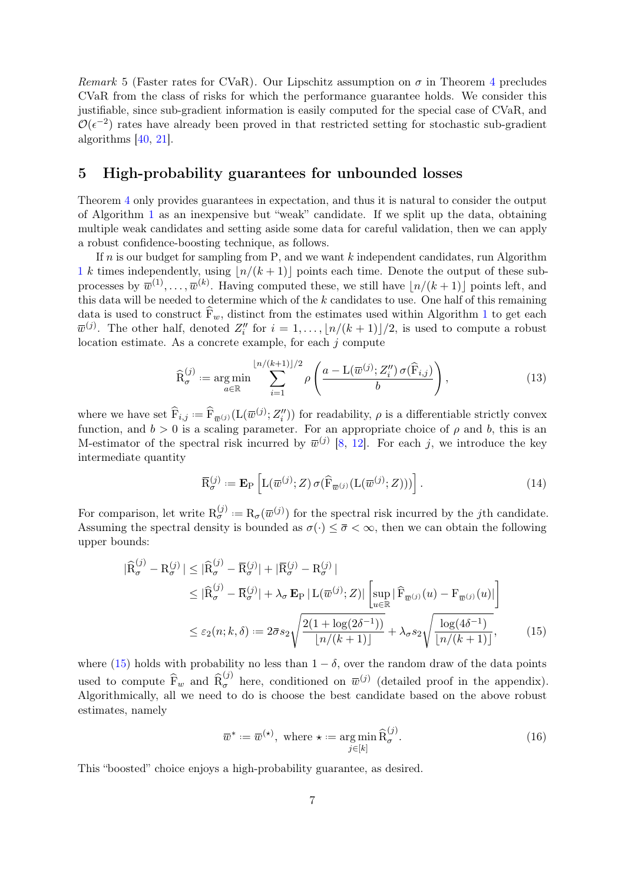Remark 5 (Faster rates for CVaR). Our Lipschitz assumption on  $\sigma$  in Theorem [4](#page-5-0) precludes CVaR from the class of risks for which the performance guarantee holds. We consider this justifiable, since sub-gradient information is easily computed for the special case of CVaR, and  $\mathcal{O}(\epsilon^{-2})$  rates have already been proved in that restricted setting for stochastic sub-gradient algorithms [\[40,](#page-18-3) [21\]](#page-17-2).

### <span id="page-6-0"></span>5 High-probability guarantees for unbounded losses

Theorem [4](#page-5-0) only provides guarantees in expectation, and thus it is natural to consider the output of Algorithm [1](#page-4-1) as an inexpensive but "weak" candidate. If we split up the data, obtaining multiple weak candidates and setting aside some data for careful validation, then we can apply a robust confidence-boosting technique, as follows.

If  $n$  is our budget for sampling from P, and we want  $k$  independent candidates, run Algorithm [1](#page-4-1) k times independently, using  $\lfloor n/(k + 1) \rfloor$  points each time. Denote the output of these subprocesses by  $\overline{w}^{(1)}, \ldots, \overline{w}^{(k)}$ . Having computed these, we still have  $\lfloor n/(k+1)\rfloor$  points left, and this data will be needed to determine which of the  $k$  candidates to use. One half of this remaining data is used to construct  $\widehat{F}_w$ , distinct from the estimates used within Algorithm [1](#page-4-1) to get each  $\overline{w}^{(j)}$ . The other half, denoted  $Z_i''$  for  $i = 1, ..., \lfloor n/(k+1) \rfloor/2$ , is used to compute a robust location estimate. As a concrete example, for each  $j$  compute

$$
\widehat{\mathcal{R}}_{\sigma}^{(j)} := \underset{a \in \mathbb{R}}{\arg \min} \sum_{i=1}^{\lfloor n/(k+1)\rfloor/2} \rho\left(\frac{a - \mathcal{L}(\overline{w}^{(j)}; Z_i'') \,\sigma(\widehat{\mathcal{F}}_{i,j})}{b}\right),\tag{13}
$$

where we have set  $\widehat{F}_{i,j} := \widehat{F}_{\overline{w}(j)}(L(\overline{w}^{(j)}; Z_i''))$  for readability,  $\rho$  is a differentiable strictly convex function, and  $b > 0$  is a scaling parameter. For an appropriate choice of  $\rho$  and b, this is an M-estimator of the spectral risk incurred by  $\bar{w}^{(j)}$  [\[8,](#page-16-9) [12\]](#page-16-10). For each j, we introduce the key intermediate quantity

$$
\overline{\mathcal{R}}_{\sigma}^{(j)} := \mathbf{E}_{\mathcal{P}} \left[ \mathcal{L}(\overline{w}^{(j)}; Z) \, \sigma(\widehat{\mathcal{F}}_{\overline{w}^{(j)}}(\mathcal{L}(\overline{w}^{(j)}; Z))) \right]. \tag{14}
$$

For comparison, let write  $R_{\sigma}^{(j)} := R_{\sigma}(\overline{w}^{(j)})$  for the spectral risk incurred by the jth candidate. Assuming the spectral density is bounded as  $\sigma(\cdot) \leq \bar{\sigma} < \infty$ , then we can obtain the following upper bounds:

$$
|\widehat{\mathbf{R}}_{\sigma}^{(j)} - \mathbf{R}_{\sigma}^{(j)}| \leq |\widehat{\mathbf{R}}_{\sigma}^{(j)} - \overline{\mathbf{R}}_{\sigma}^{(j)}| + |\overline{\mathbf{R}}_{\sigma}^{(j)} - \mathbf{R}_{\sigma}^{(j)}|
$$
  
\n
$$
\leq |\widehat{\mathbf{R}}_{\sigma}^{(j)} - \overline{\mathbf{R}}_{\sigma}^{(j)}| + \lambda_{\sigma} \mathbf{E}_{\mathbf{P}} | \mathbf{L}(\overline{w}^{(j)}; Z) | \left[ \sup_{u \in \mathbb{R}} |\widehat{\mathbf{F}}_{\overline{w}^{(j)}}(u) - \mathbf{F}_{\overline{w}^{(j)}}(u)| \right]
$$
  
\n
$$
\leq \varepsilon_2(n; k, \delta) := 2\overline{\sigma} s_2 \sqrt{\frac{2(1 + \log(2\delta^{-1}))}{\lfloor n/(k+1) \rfloor}} + \lambda_{\sigma} s_2 \sqrt{\frac{\log(4\delta^{-1})}{\lfloor n/(k+1) \rfloor}},
$$
(15)

where [\(15\)](#page-6-1) holds with probability no less than  $1 - \delta$ , over the random draw of the data points used to compute  $\widehat{F}_w$  and  $\widehat{R}_{\sigma}^{(j)}$  here, conditioned on  $\overline{w}^{(j)}$  (detailed proof in the appendix). Algorithmically, all we need to do is choose the best candidate based on the above robust estimates, namely

<span id="page-6-2"></span><span id="page-6-1"></span>
$$
\overline{w}^* := \overline{w}^{(\star)}, \text{ where } \star := \underset{j \in [k]}{\text{arg min}} \widehat{\mathcal{R}}_{\sigma}^{(j)}.
$$
 (16)

This "boosted" choice enjoys a high-probability guarantee, as desired.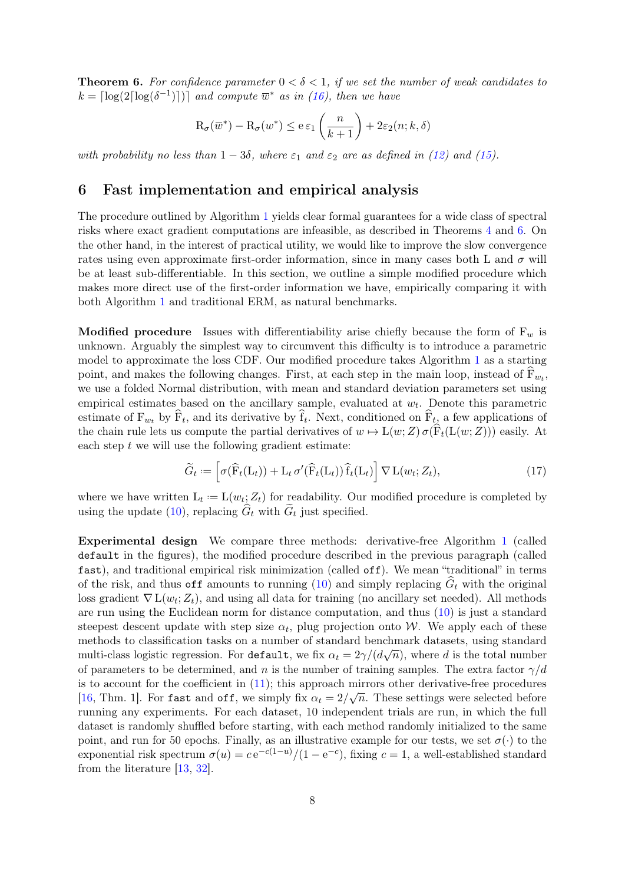<span id="page-7-1"></span>**Theorem 6.** For confidence parameter  $0 < \delta < 1$ , if we set the number of weak candidates to  $k = \lceil \log(2\lceil \log(\delta^{-1}) \rceil) \rceil$  and compute  $\overline{w}^*$  as in [\(16\)](#page-6-2), then we have

$$
\mathrm{R}_{\sigma}(\overline{w}^*) - \mathrm{R}_{\sigma}(w^*) \le e \,\varepsilon_1\left(\frac{n}{k+1}\right) + 2\varepsilon_2(n;k,\delta)
$$

with probability no less than  $1 - 3\delta$ , where  $\varepsilon_1$  and  $\varepsilon_2$  are as defined in [\(12\)](#page-5-1) and [\(15\)](#page-6-1).

## <span id="page-7-0"></span>6 Fast implementation and empirical analysis

The procedure outlined by Algorithm [1](#page-4-1) yields clear formal guarantees for a wide class of spectral risks where exact gradient computations are infeasible, as described in Theorems [4](#page-5-0) and [6.](#page-7-1) On the other hand, in the interest of practical utility, we would like to improve the slow convergence rates using even approximate first-order information, since in many cases both L and  $\sigma$  will be at least sub-differentiable. In this section, we outline a simple modified procedure which makes more direct use of the first-order information we have, empirically comparing it with both Algorithm [1](#page-4-1) and traditional ERM, as natural benchmarks.

**Modified procedure** Issues with differentiability arise chiefly because the form of  $F_w$  is unknown. Arguably the simplest way to circumvent this difficulty is to introduce a parametric model to approximate the loss CDF. Our modified procedure takes Algorithm [1](#page-4-1) as a starting point, and makes the following changes. First, at each step in the main loop, instead of  $\overline{F}_{w_t}$ , we use a folded Normal distribution, with mean and standard deviation parameters set using empirical estimates based on the ancillary sample, evaluated at  $w_t$ . Denote this parametric estimate of  $F_{w_t}$  by  $F_t$ , and its derivative by  $f_t$ . Next, conditioned on  $F_t$ , a few applications of the chain rule lets us compute the partial derivatives of  $w \mapsto L(w;Z) \sigma(\widehat{F}_t(L(w;Z)))$  easily. At each step  $t$  we will use the following gradient estimate:

$$
\widetilde{G}_t := \left[ \sigma(\widehat{F}_t(L_t)) + L_t \sigma'(\widehat{F}_t(L_t)) \widehat{f}_t(L_t) \right] \nabla L(w_t; Z_t), \tag{17}
$$

where we have written  $L_t := L(w_t; Z_t)$  for readability. Our modified procedure is completed by using the update [\(10\)](#page-4-3), replacing  $G_t$  with  $G_t$  just specified.

Experimental design We compare three methods: derivative-free Algorithm [1](#page-4-1) (called default in the figures), the modified procedure described in the previous paragraph (called fast), and traditional empirical risk minimization (called off). We mean "traditional" in terms of the risk, and thus off amounts to running [\(10\)](#page-4-3) and simply replacing  $G_t$  with the original loss gradient  $\nabla$  L $(w_t; Z_t)$ , and using all data for training (no ancillary set needed). All methods are run using the Euclidean norm for distance computation, and thus [\(10\)](#page-4-3) is just a standard steepest descent update with step size  $\alpha_t$ , plug projection onto W. We apply each of these methods to classification tasks on a number of standard benchmark datasets, using standard multi-class logistic regression. For default, we fix  $\alpha_t = 2\gamma/(d\sqrt{n})$ , where  $d$  is the total number of parameters to be determined, and n is the number of training samples. The extra factor  $\gamma/d$ is to account for the coefficient in [\(11\)](#page-4-2); this approach mirrors other derivative-free procedures [\[16,](#page-16-6) Thm. 1]. For fast and off, we simply fix  $\alpha_t = 2/\sqrt{n}$ . These settings were selected before running any experiments. For each dataset, 10 independent trials are run, in which the full dataset is randomly shuffled before starting, with each method randomly initialized to the same point, and run for 50 epochs. Finally, as an illustrative example for our tests, we set  $\sigma(\cdot)$  to the exponential risk spectrum  $\sigma(u) = c e^{-c(1-u)} / (1 - e^{-c})$ , fixing  $c = 1$ , a well-established standard from the literature [\[13,](#page-16-11) [32\]](#page-17-6).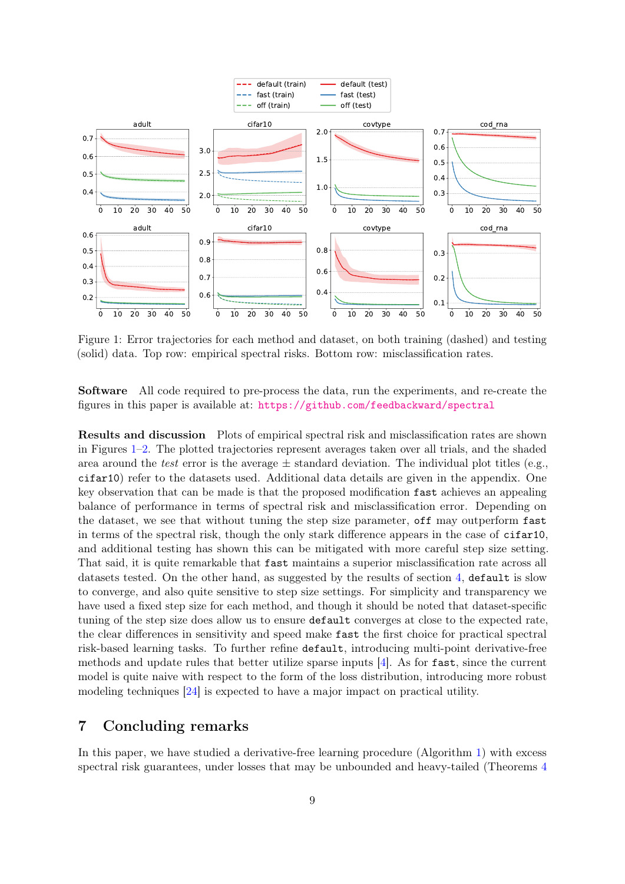<span id="page-8-1"></span>

Figure 1: Error trajectories for each method and dataset, on both training (dashed) and testing (solid) data. Top row: empirical spectral risks. Bottom row: misclassification rates.

Software All code required to pre-process the data, run the experiments, and re-create the figures in this paper is available at: <https://github.com/feedbackward/spectral>

Results and discussion Plots of empirical spectral risk and misclassification rates are shown in Figures [1–](#page-8-1)[2.](#page-9-2) The plotted trajectories represent averages taken over all trials, and the shaded area around the test error is the average  $\pm$  standard deviation. The individual plot titles (e.g., cifar10) refer to the datasets used. Additional data details are given in the appendix. One key observation that can be made is that the proposed modification fast achieves an appealing balance of performance in terms of spectral risk and misclassification error. Depending on the dataset, we see that without tuning the step size parameter, off may outperform fast in terms of the spectral risk, though the only stark difference appears in the case of cifar10, and additional testing has shown this can be mitigated with more careful step size setting. That said, it is quite remarkable that fast maintains a superior misclassification rate across all datasets tested. On the other hand, as suggested by the results of section [4,](#page-4-0) default is slow to converge, and also quite sensitive to step size settings. For simplicity and transparency we have used a fixed step size for each method, and though it should be noted that dataset-specific tuning of the step size does allow us to ensure default converges at close to the expected rate, the clear differences in sensitivity and speed make fast the first choice for practical spectral risk-based learning tasks. To further refine default, introducing multi-point derivative-free methods and update rules that better utilize sparse inputs [\[4\]](#page-16-8). As for fast, since the current model is quite naive with respect to the form of the loss distribution, introducing more robust modeling techniques [\[24\]](#page-17-10) is expected to have a major impact on practical utility.

### <span id="page-8-0"></span>7 Concluding remarks

In this paper, we have studied a derivative-free learning procedure (Algorithm [1\)](#page-4-1) with excess spectral risk guarantees, under losses that may be unbounded and heavy-tailed (Theorems [4](#page-5-0)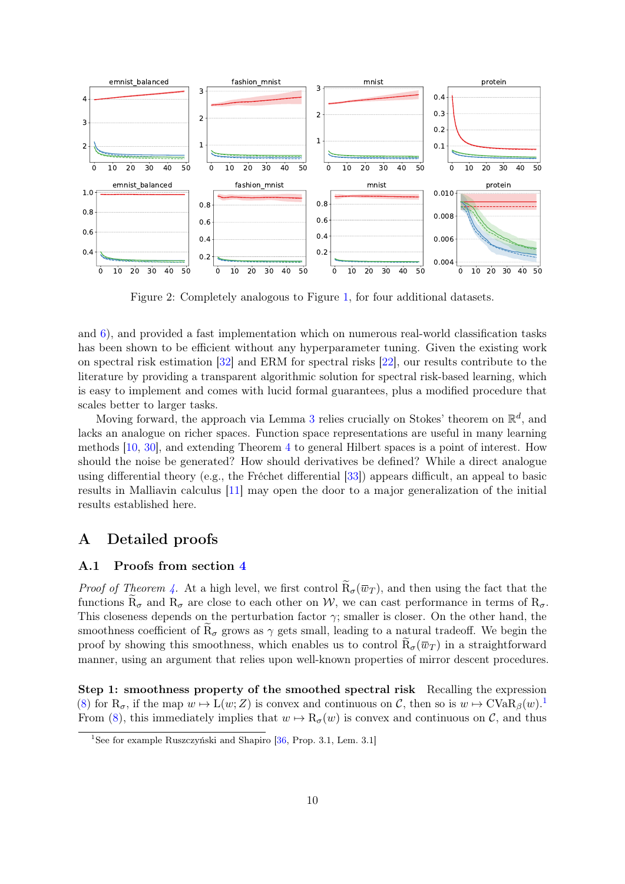<span id="page-9-2"></span>

Figure 2: Completely analogous to Figure [1,](#page-8-1) for four additional datasets.

and [6\)](#page-7-1), and provided a fast implementation which on numerous real-world classification tasks has been shown to be efficient without any hyperparameter tuning. Given the existing work on spectral risk estimation [\[32\]](#page-17-6) and ERM for spectral risks [\[22\]](#page-17-7), our results contribute to the literature by providing a transparent algorithmic solution for spectral risk-based learning, which is easy to implement and comes with lucid formal guarantees, plus a modified procedure that scales better to larger tasks.

Moving forward, the approach via Lemma [3](#page-4-4) relies crucially on Stokes' theorem on  $\mathbb{R}^d$ , and lacks an analogue on richer spaces. Function space representations are useful in many learning methods [\[10,](#page-16-12) [30\]](#page-17-11), and extending Theorem [4](#page-5-0) to general Hilbert spaces is a point of interest. How should the noise be generated? How should derivatives be defined? While a direct analogue using differential theory (e.g., the Fréchet differential [\[33\]](#page-18-11)) appears difficult, an appeal to basic results in Malliavin calculus [\[11\]](#page-16-13) may open the door to a major generalization of the initial results established here.

# <span id="page-9-0"></span>A Detailed proofs

#### <span id="page-9-1"></span>A.1 Proofs from section [4](#page-4-0)

*Proof of Theorem [4.](#page-5-0)* At a high level, we first control  $\tilde{R}_{\sigma}(\overline{w}_T)$ , and then using the fact that the functions  $\tilde{R}_{\sigma}$  and  $R_{\sigma}$  are close to each other on W, we can cast performance in terms of  $R_{\sigma}$ . This closeness depends on the perturbation factor  $\gamma$ ; smaller is closer. On the other hand, the smoothness coefficient of  $R_{\sigma}$  grows as  $\gamma$  gets small, leading to a natural tradeoff. We begin the proof by showing this smoothness, which enables us to control  $R_{\sigma}(\bar{w}_T)$  in a straightforward manner, using an argument that relies upon well-known properties of mirror descent procedures.

Step 1: smoothness property of the smoothed spectral risk Recalling the expression [\(8\)](#page-3-4) for  $R_{\sigma}$ , if the map  $w \mapsto L(w; Z)$  is convex and continuous on C, then so is  $w \mapsto CVaR_{\beta}(w)$ . From [\(8\)](#page-3-4), this immediately implies that  $w \mapsto R_{\sigma}(w)$  is convex and continuous on C, and thus

<span id="page-9-3"></span><sup>1</sup>See for example Ruszczyński and Shapiro [\[36,](#page-18-5) Prop. 3.1, Lem. 3.1]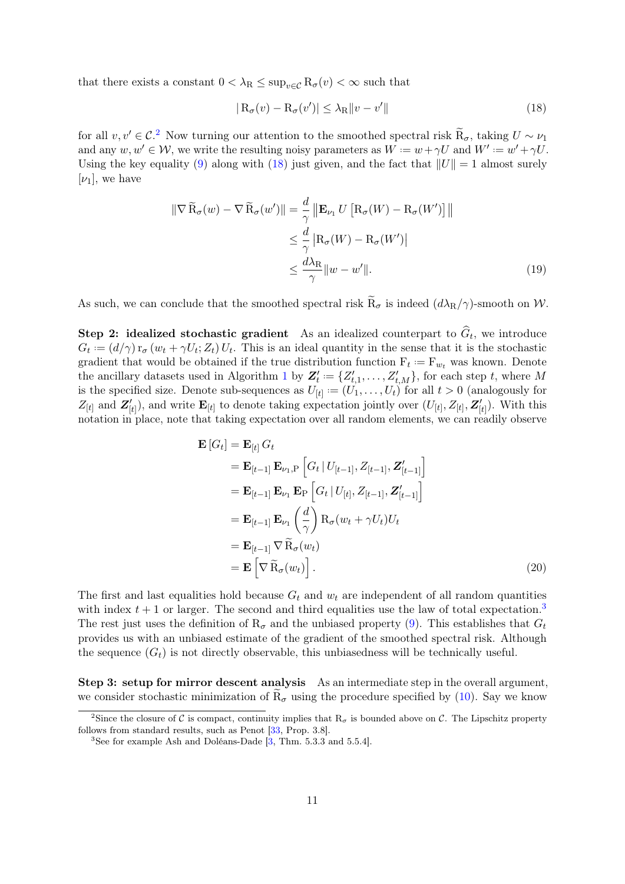that there exists a constant  $0 < \lambda_R \leq \sup_{v \in C} R_{\sigma}(v) < \infty$  such that

<span id="page-10-4"></span><span id="page-10-1"></span>
$$
|R_{\sigma}(v) - R_{\sigma}(v')| \leq \lambda_{R} ||v - v'|| \qquad (18)
$$

for all  $v, v' \in C^2$  $v, v' \in C^2$ . Now turning our attention to the smoothed spectral risk  $\tilde{R}_{\sigma}$ , taking  $U \sim \nu_1$ and any  $w, w' \in W$ , we write the resulting noisy parameters as  $W := w + \gamma U$  and  $W' := w' + \gamma U$ . Using the key equality [\(9\)](#page-4-5) along with [\(18\)](#page-10-1) just given, and the fact that  $||U|| = 1$  almost surely  $[\nu_1]$ , we have

$$
\|\nabla \widetilde{\mathbf{R}}_{\sigma}(w) - \nabla \widetilde{\mathbf{R}}_{\sigma}(w')\| = \frac{d}{\gamma} \|\mathbf{E}_{\nu_1} U \left[\mathbf{R}_{\sigma}(W) - \mathbf{R}_{\sigma}(W')\right]\|
$$
  

$$
\leq \frac{d}{\gamma} |\mathbf{R}_{\sigma}(W) - \mathbf{R}_{\sigma}(W')|
$$
  

$$
\leq \frac{d\lambda_{\mathbf{R}}}{\gamma} \|w - w'\|.
$$
 (19)

As such, we can conclude that the smoothed spectral risk  $\tilde{R}_{\sigma}$  is indeed  $(d\lambda_{R}/\gamma)$ -smooth on W.

Step 2: idealized stochastic gradient As an idealized counterpart to  $G_t$ , we introduce  $G_t := (d/\gamma) r_{\sigma} (w_t + \gamma U_t; Z_t) U_t$ . This is an ideal quantity in the sense that it is the stochastic gradient that would be obtained if the true distribution function  $F_t := F_{w_t}$  was known. Denote the ancillary datasets used in Algorithm [1](#page-4-1) by  $\mathbf{Z}'_t := \{Z'_{t,1}, \ldots, Z'_{t,M}\}$ , for each step t, where M is the specified size. Denote sub-sequences as  $U_{[t]} := (U_1, \ldots, U_t)$  for all  $t > 0$  (analogously for  $Z_{[t]}$  and  $\mathbf{Z}'_{[t]}$ , and write  $\mathbf{E}_{[t]}$  to denote taking expectation jointly over  $(U_{[t]}, Z_{[t]}, \mathbf{Z}'_{[t]})$ . With this notation in place, note that taking expectation over all random elements, we can readily observe

<span id="page-10-3"></span>
$$
\mathbf{E}[G_t] = \mathbf{E}_{[t]} G_t
$$
\n
$$
= \mathbf{E}_{[t-1]} \mathbf{E}_{\nu_1, P} \left[ G_t | U_{[t-1]}, Z_{[t-1]}, Z'_{[t-1]} \right]
$$
\n
$$
= \mathbf{E}_{[t-1]} \mathbf{E}_{\nu_1} \mathbf{E}_{P} \left[ G_t | U_{[t]}, Z_{[t-1]}, Z'_{[t-1]} \right]
$$
\n
$$
= \mathbf{E}_{[t-1]} \mathbf{E}_{\nu_1} \left( \frac{d}{\gamma} \right) \mathbf{R}_{\sigma} (w_t + \gamma U_t) U_t
$$
\n
$$
= \mathbf{E}_{[t-1]} \nabla \widetilde{\mathbf{R}}_{\sigma} (w_t)
$$
\n
$$
= \mathbf{E} \left[ \nabla \widetilde{\mathbf{R}}_{\sigma} (w_t) \right]. \tag{20}
$$

The first and last equalities hold because  $G_t$  and  $w_t$  are independent of all random quantities with index  $t + 1$  or larger. The second and third equalities use the law of total expectation.<sup>[3](#page-10-2)</sup> The rest just uses the definition of  $R_{\sigma}$  and the unbiased property [\(9\)](#page-4-5). This establishes that  $G_t$ provides us with an unbiased estimate of the gradient of the smoothed spectral risk. Although the sequence  $(G_t)$  is not directly observable, this unbiasedness will be technically useful.

Step 3: setup for mirror descent analysis As an intermediate step in the overall argument, we consider stochastic minimization of  $\tilde{R}_{\sigma}$  using the procedure specified by [\(10\)](#page-4-3). Say we know

<span id="page-10-0"></span><sup>&</sup>lt;sup>2</sup>Since the closure of C is compact, continuity implies that  $R_{\sigma}$  is bounded above on C. The Lipschitz property follows from standard results, such as Penot [\[33,](#page-18-11) Prop. 3.8].

<span id="page-10-2"></span><sup>&</sup>lt;sup>3</sup>See for example Ash and Doléans-Dade  $[3, Thm. 5.3.3$  $[3, Thm. 5.3.3$  and  $5.5.4]$ .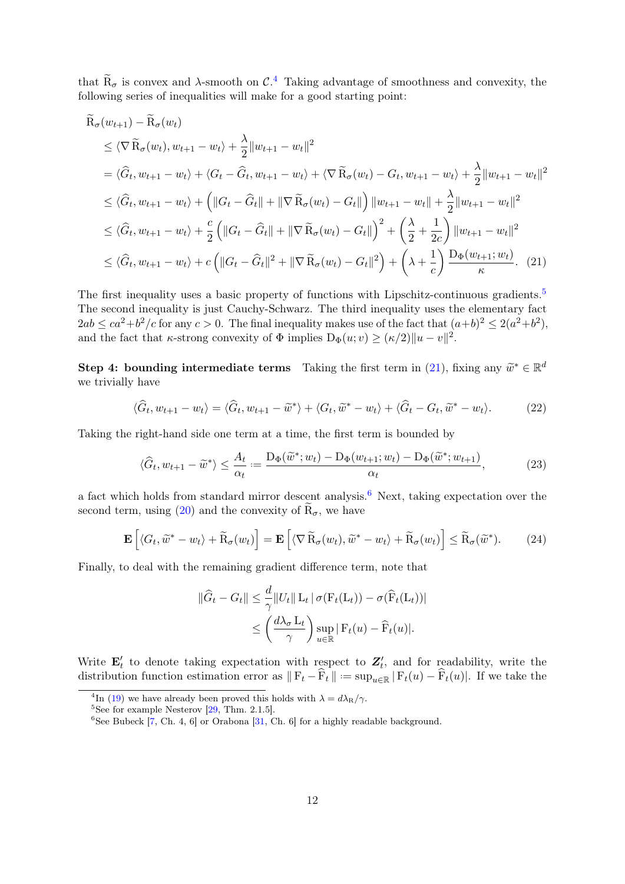that  $\widetilde{R}_{\sigma}$  is convex and  $\lambda$ -smooth on  $\mathcal{C}$ .<sup>[4](#page-11-0)</sup> Taking advantage of smoothness and convexity, the following series of inequalities will make for a good starting point:

$$
\tilde{R}_{\sigma}(w_{t+1}) - \tilde{R}_{\sigma}(w_{t}) \n\leq \langle \nabla \tilde{R}_{\sigma}(w_{t}), w_{t+1} - w_{t} \rangle + \frac{\lambda}{2} ||w_{t+1} - w_{t}||^{2} \n= \langle \hat{G}_{t}, w_{t+1} - w_{t} \rangle + \langle G_{t} - \hat{G}_{t}, w_{t+1} - w_{t} \rangle + \langle \nabla \tilde{R}_{\sigma}(w_{t}) - G_{t}, w_{t+1} - w_{t} \rangle + \frac{\lambda}{2} ||w_{t+1} - w_{t}||^{2} \n\leq \langle \hat{G}_{t}, w_{t+1} - w_{t} \rangle + (||G_{t} - \hat{G}_{t}|| + ||\nabla \tilde{R}_{\sigma}(w_{t}) - G_{t}||) ||w_{t+1} - w_{t}|| + \frac{\lambda}{2} ||w_{t+1} - w_{t}||^{2} \n\leq \langle \hat{G}_{t}, w_{t+1} - w_{t} \rangle + \frac{c}{2} (||G_{t} - \hat{G}_{t}|| + ||\nabla \tilde{R}_{\sigma}(w_{t}) - G_{t}||)^{2} + (\frac{\lambda}{2} + \frac{1}{2c}) ||w_{t+1} - w_{t}||^{2} \n\leq \langle \hat{G}_{t}, w_{t+1} - w_{t} \rangle + c (||G_{t} - \hat{G}_{t}||^{2} + ||\nabla \tilde{R}_{\sigma}(w_{t}) - G_{t}||^{2}) + (\lambda + \frac{1}{c}) \frac{D_{\Phi}(w_{t+1}; w_{t})}{\kappa}. (21)
$$

The first inequality uses a basic property of functions with Lipschitz-continuous gradients.<sup>[5](#page-11-1)</sup> The second inequality is just Cauchy-Schwarz. The third inequality uses the elementary fact  $2ab \leq ca^2+b^2/c$  for any  $c > 0$ . The final inequality makes use of the fact that  $(a+b)^2 \leq 2(a^2+b^2)$ , and the fact that  $\kappa$ -strong convexity of  $\Phi$  implies  $D_{\Phi}(u; v) \geq (\kappa/2) ||u - v||^2$ .

Step 4: bounding intermediate terms Taking the first term in [\(21\)](#page-11-2), fixing any  $\widetilde{w}^* \in \mathbb{R}^d$ <br>we trivially have we trivially have

<span id="page-11-2"></span>
$$
\langle \hat{G}_t, w_{t+1} - w_t \rangle = \langle \hat{G}_t, w_{t+1} - \tilde{w}^* \rangle + \langle G_t, \tilde{w}^* - w_t \rangle + \langle \hat{G}_t - G_t, \tilde{w}^* - w_t \rangle. \tag{22}
$$

Taking the right-hand side one term at a time, the first term is bounded by

$$
\langle \widehat{G}_t, w_{t+1} - \widetilde{w}^* \rangle \le \frac{A_t}{\alpha_t} := \frac{\mathcal{D}_{\Phi}(\widetilde{w}^*; w_t) - \mathcal{D}_{\Phi}(w_{t+1}; w_t) - \mathcal{D}_{\Phi}(\widetilde{w}^*; w_{t+1})}{\alpha_t},\tag{23}
$$

a fact which holds from standard mirror descent analysis.<sup>[6](#page-11-3)</sup> Next, taking expectation over the second term, using [\(20\)](#page-10-3) and the convexity of  $\widetilde{\mathrm{R}}_{\sigma}$ , we have

$$
\mathbf{E}\left[\langle G_t, \widetilde{w}^* - w_t \rangle + \widetilde{R}_{\sigma}(w_t)\right] = \mathbf{E}\left[\langle \nabla \widetilde{R}_{\sigma}(w_t), \widetilde{w}^* - w_t \rangle + \widetilde{R}_{\sigma}(w_t)\right] \leq \widetilde{R}_{\sigma}(\widetilde{w}^*). \tag{24}
$$

Finally, to deal with the remaining gradient difference term, note that

<span id="page-11-4"></span>
$$
\|\widehat{G}_t - G_t\| \leq \frac{d}{\gamma} \|U_t\| \mathcal{L}_t |\sigma(\mathcal{F}_t(\mathcal{L}_t)) - \sigma(\widehat{\mathcal{F}}_t(\mathcal{L}_t))|
$$
  

$$
\leq \left(\frac{d\lambda_\sigma \mathcal{L}_t}{\gamma}\right) \sup_{u \in \mathbb{R}} |\mathcal{F}_t(u) - \widehat{\mathcal{F}}_t(u)|.
$$

Write  $\mathbf{E}'_t$  to denote taking expectation with respect to  $\mathbf{Z}'_t$ , and for readability, write the distribution function estimation error as  $\|F_t - \widehat{F}_t\| := \sup_{u \in \mathbb{R}} |F_t(u) - \widehat{F}_t(u)|$ . If we take the

<span id="page-11-0"></span><sup>&</sup>lt;sup>4</sup>In [\(19\)](#page-10-4) we have already been proved this holds with  $\lambda = d\lambda_{\rm R}/\gamma$ .

<span id="page-11-1"></span> $5$ See for example Nesterov [\[29,](#page-17-12) Thm. 2.1.5].

<span id="page-11-3"></span><sup>&</sup>lt;sup>6</sup>See Bubeck  $\overline{7}$ , Ch. 4, 6 or Orabona  $\overline{31}$ , Ch. 6 for a highly readable background.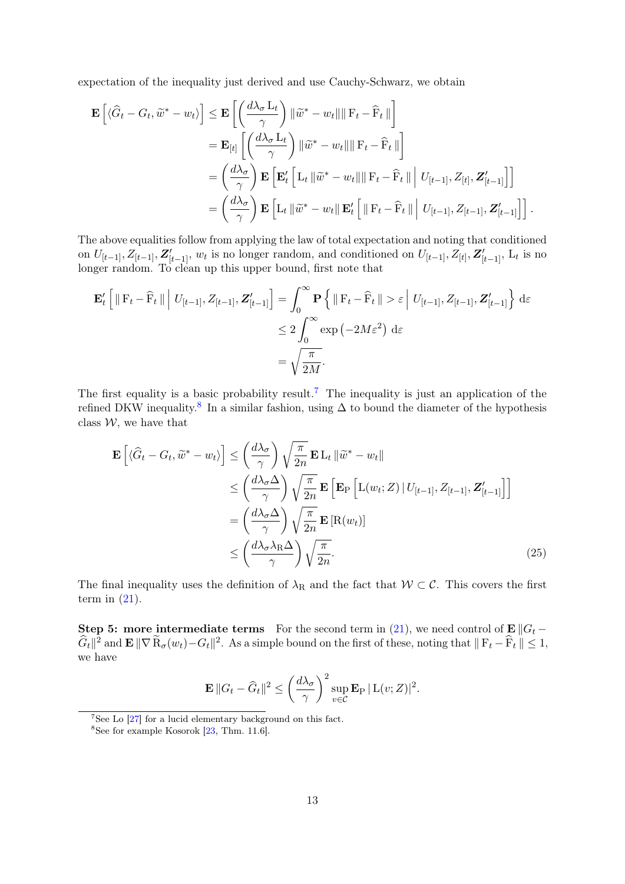expectation of the inequality just derived and use Cauchy-Schwarz, we obtain

$$
\mathbf{E}\left[\langle \widehat{G}_t - G_t, \widetilde{w}^* - w_t \rangle\right] \leq \mathbf{E}\left[\left(\frac{d\lambda_\sigma L_t}{\gamma}\right) \|\widetilde{w}^* - w_t\| \|\mathbf{F}_t - \widehat{\mathbf{F}}_t\|\right] \n= \mathbf{E}_{[t]}\left[\left(\frac{d\lambda_\sigma L_t}{\gamma}\right) \|\widetilde{w}^* - w_t\| \|\mathbf{F}_t - \widehat{\mathbf{F}}_t\|\right] \n= \left(\frac{d\lambda_\sigma}{\gamma}\right) \mathbf{E}\left[\mathbf{E}_t'\left[L_t\|\widetilde{w}^* - w_t\|\|\mathbf{F}_t - \widehat{\mathbf{F}}_t\|\| U_{[t-1]}, Z_{[t]}, \mathbf{Z}_{[t-1]}'\right]\right] \n= \left(\frac{d\lambda_\sigma}{\gamma}\right) \mathbf{E}\left[L_t\|\widetilde{w}^* - w_t\|\mathbf{E}_t'\right] \|\mathbf{F}_t - \widehat{\mathbf{F}}_t\|\| U_{[t-1]}, Z_{[t-1]}, \mathbf{Z}_{[t-1]}'\right].
$$

The above equalities follow from applying the law of total expectation and noting that conditioned on  $U_{[t-1]}, Z_{[t-1]}, \mathbf{Z}_{[t-1]}'$ ,  $w_t$  is no longer random, and conditioned on  $U_{[t-1]}, Z_{[t]}, \mathbf{Z}_{[t-1]}'$ ,  $L_t$  is no longer random. To clean up this upper bound, first note that

$$
\mathbf{E}'_t \left[ \|\mathbf{F}_t - \widehat{\mathbf{F}}_t\| \middle| U_{[t-1]}, Z_{[t-1]}, \mathbf{Z}'_{[t-1]} \right] = \int_0^\infty \mathbf{P} \left\{ \|\mathbf{F}_t - \widehat{\mathbf{F}}_t\| > \varepsilon \middle| U_{[t-1]}, Z_{[t-1]}, \mathbf{Z}'_{[t-1]} \right\} d\varepsilon
$$
  

$$
\leq 2 \int_0^\infty \exp(-2M\varepsilon^2) d\varepsilon
$$
  

$$
= \sqrt{\frac{\pi}{2M}}.
$$

The first equality is a basic probability result.<sup>[7](#page-12-0)</sup> The inequality is just an application of the refined DKW inequality.<sup>[8](#page-12-1)</sup> In a similar fashion, using  $\Delta$  to bound the diameter of the hypothesis class  $W$ , we have that

$$
\mathbf{E}\left[\langle \widehat{G}_t - G_t, \widetilde{w}^* - w_t \rangle\right] \leq \left(\frac{d\lambda_{\sigma}}{\gamma}\right) \sqrt{\frac{\pi}{2n}} \mathbf{E} L_t \|\widetilde{w}^* - w_t\|
$$
\n
$$
\leq \left(\frac{d\lambda_{\sigma}\Delta}{\gamma}\right) \sqrt{\frac{\pi}{2n}} \mathbf{E}\left[\mathbf{E}_{\text{P}}\left[L(w_t; Z) \mid U_{[t-1]}, Z_{[t-1]}, Z'_{[t-1]}\right]\right]
$$
\n
$$
= \left(\frac{d\lambda_{\sigma}\Delta}{\gamma}\right) \sqrt{\frac{\pi}{2n}} \mathbf{E}\left[\mathbf{R}(w_t)\right]
$$
\n
$$
\leq \left(\frac{d\lambda_{\sigma}\lambda_{\text{R}}\Delta}{\gamma}\right) \sqrt{\frac{\pi}{2n}}.
$$
\n(25)

The final inequality uses the definition of  $\lambda_R$  and the fact that  $W \subset \mathcal{C}$ . This covers the first term in  $(21)$ .

Step 5: more intermediate terms For the second term in [\(21\)](#page-11-2), we need control of  $\mathbf{E} || G_t \widehat{G}_t\|^2$  and  $\mathbf{E} \|\nabla \widetilde{\mathbf{R}}_{\sigma}(w_t) - G_t\|^2$ . As a simple bound on the first of these, noting that  $\|\mathbf{F}_t - \widehat{\mathbf{F}}_t\| \leq 1$ , we have

$$
\mathbf{E} ||G_t - \widehat{G}_t||^2 \le \left(\frac{d\lambda_\sigma}{\gamma}\right)^2 \sup_{v \in \mathcal{C}} \mathbf{E}_{P} |L(v;Z)|^2.
$$

<span id="page-12-0"></span> $7$ See Lo  $[27]$  for a lucid elementary background on this fact.

<span id="page-12-1"></span> $8$ See for example Kosorok [\[23,](#page-17-15) Thm. 11.6].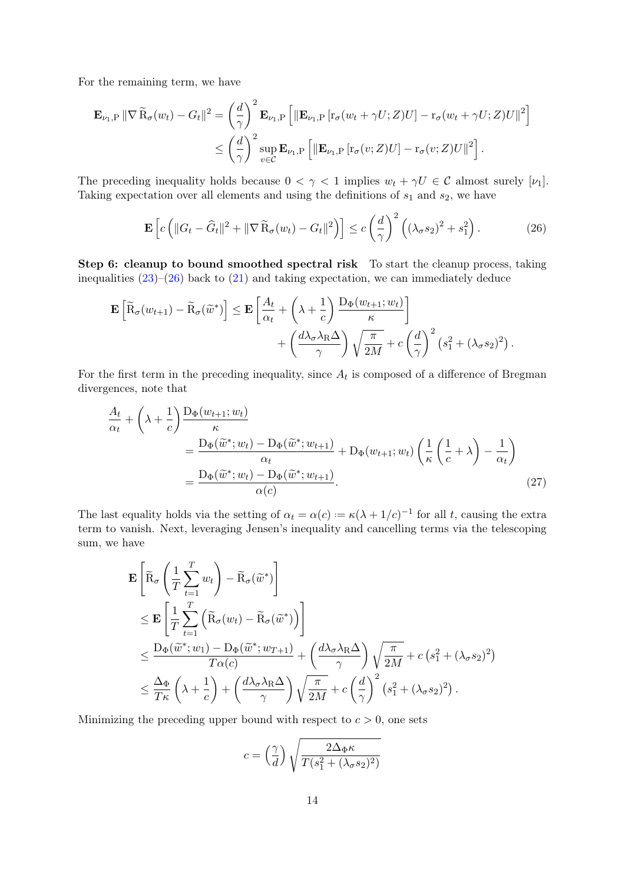For the remaining term, we have

$$
\mathbf{E}_{\nu_1,\mathrm{P}} \|\nabla \widetilde{\mathrm{R}}_{\sigma}(w_t) - G_t\|^2 = \left(\frac{d}{\gamma}\right)^2 \mathbf{E}_{\nu_1,\mathrm{P}} \left[\|\mathbf{E}_{\nu_1,\mathrm{P}} \left[ \mathrm{r}_{\sigma}(w_t + \gamma U; Z) U\right] - \mathrm{r}_{\sigma}(w_t + \gamma U; Z) U\|^2 \right] \leq \left(\frac{d}{\gamma}\right)^2 \sup_{v \in \mathcal{C}} \mathbf{E}_{\nu_1,\mathrm{P}} \left[\|\mathbf{E}_{\nu_1,\mathrm{P}} \left[ \mathrm{r}_{\sigma}(v; Z) U\right] - \mathrm{r}_{\sigma}(v; Z) U\|^2 \right].
$$

The preceding inequality holds because  $0 < \gamma < 1$  implies  $w_t + \gamma U \in \mathcal{C}$  almost surely [ $\nu_1$ ]. Taking expectation over all elements and using the definitions of  $s_1$  and  $s_2$ , we have

<span id="page-13-0"></span>
$$
\mathbf{E}\left[c\left(\|G_t - \widehat{G}_t\|^2 + \|\nabla \widetilde{\mathbf{R}}_{\sigma}(w_t) - G_t\|^2\right)\right] \le c\left(\frac{d}{\gamma}\right)^2 \left((\lambda_\sigma s_2)^2 + s_1^2\right). \tag{26}
$$

Step 6: cleanup to bound smoothed spectral risk To start the cleanup process, taking inequalities  $(23)$ – $(26)$  back to  $(21)$  and taking expectation, we can immediately deduce

$$
\mathbf{E}\left[\widetilde{\mathbf{R}}_{\sigma}(w_{t+1}) - \widetilde{\mathbf{R}}_{\sigma}(\widetilde{w}^*)\right] \leq \mathbf{E}\left[\frac{A_t}{\alpha_t} + \left(\lambda + \frac{1}{c}\right) \frac{\mathbf{D}_{\Phi}(w_{t+1}; w_t)}{\kappa}\right] + \left(\frac{d\lambda_{\sigma}\lambda_{\mathbf{R}}\Delta}{\gamma}\right)\sqrt{\frac{\pi}{2M}} + c\left(\frac{d}{\gamma}\right)^2\left(s_1^2 + (\lambda_{\sigma}s_2)^2\right).
$$

For the first term in the preceding inequality, since  $A_t$  is composed of a difference of Bregman divergences, note that

$$
\frac{A_t}{\alpha_t} + \left(\lambda + \frac{1}{c}\right) \frac{D_{\Phi}(w_{t+1}; w_t)}{\kappa} \n= \frac{D_{\Phi}(\widetilde{w}^*; w_t) - D_{\Phi}(\widetilde{w}^*; w_{t+1})}{\alpha_t} + D_{\Phi}(w_{t+1}; w_t) \left(\frac{1}{\kappa}\left(\frac{1}{c} + \lambda\right) - \frac{1}{\alpha_t}\right) \n= \frac{D_{\Phi}(\widetilde{w}^*; w_t) - D_{\Phi}(\widetilde{w}^*; w_{t+1})}{\alpha(c)}.
$$
\n(27)

The last equality holds via the setting of  $\alpha_t = \alpha(c) := \kappa(\lambda + 1/c)^{-1}$  for all t, causing the extra term to vanish. Next, leveraging Jensen's inequality and cancelling terms via the telescoping sum, we have

$$
\mathbf{E}\left[\widetilde{\mathbf{R}}_{\sigma}\left(\frac{1}{T}\sum_{t=1}^{T}w_{t}\right)-\widetilde{\mathbf{R}}_{\sigma}(\widetilde{w}^{*})\right] \n\leq \mathbf{E}\left[\frac{1}{T}\sum_{t=1}^{T}\left(\widetilde{\mathbf{R}}_{\sigma}(w_{t})-\widetilde{\mathbf{R}}_{\sigma}(\widetilde{w}^{*})\right)\right] \n\leq \frac{\mathbf{D}_{\Phi}(\widetilde{w}^{*};w_{1})-\mathbf{D}_{\Phi}(\widetilde{w}^{*};w_{T+1})}{T\alpha(c)}+\left(\frac{d\lambda_{\sigma}\lambda_{\mathbf{R}}\Delta}{\gamma}\right)\sqrt{\frac{\pi}{2M}}+c\left(s_{1}^{2}+(\lambda_{\sigma}s_{2})^{2}\right) \n\leq \frac{\Delta_{\Phi}}{T\kappa}\left(\lambda+\frac{1}{c}\right)+\left(\frac{d\lambda_{\sigma}\lambda_{\mathbf{R}}\Delta}{\gamma}\right)\sqrt{\frac{\pi}{2M}}+c\left(\frac{d}{\gamma}\right)^{2}\left(s_{1}^{2}+(\lambda_{\sigma}s_{2})^{2}\right).
$$

Minimizing the preceding upper bound with respect to  $c > 0$ , one sets

$$
c = \left(\frac{\gamma}{d}\right) \sqrt{\frac{2\Delta_{\Phi}\kappa}{T(s_1^2 + (\lambda_{\sigma}s_2)^2)}}
$$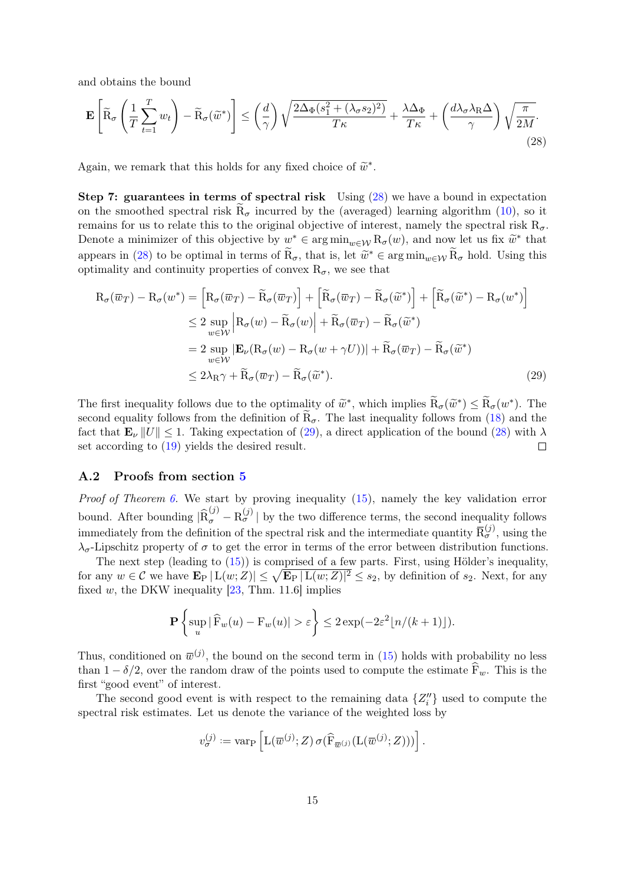and obtains the bound

<span id="page-14-1"></span>
$$
\mathbf{E}\left[\widetilde{\mathbf{R}}_{\sigma}\left(\frac{1}{T}\sum_{t=1}^{T}w_{t}\right)-\widetilde{\mathbf{R}}_{\sigma}(\widetilde{w}^{*})\right] \leq \left(\frac{d}{\gamma}\right)\sqrt{\frac{2\Delta_{\Phi}(s_{1}^{2}+(\lambda_{\sigma}s_{2})^{2})}{T\kappa}}+\frac{\lambda\Delta_{\Phi}}{T\kappa}+\left(\frac{d\lambda_{\sigma}\lambda_{\mathbf{R}}\Delta}{\gamma}\right)\sqrt{\frac{\pi}{2M}}.\tag{28}
$$

Again, we remark that this holds for any fixed choice of  $\widetilde{w}^*$ .

Step 7: guarantees in terms of spectral risk Using [\(28\)](#page-14-1) we have a bound in expectation on the smoothed spectral risk  $R_{\sigma}$  incurred by the (averaged) learning algorithm [\(10\)](#page-4-3), so it remains for us to relate this to the original objective of interest, namely the spectral risk  $R_{\sigma}$ . Denote a minimizer of this objective by  $w^* \in \arg \min_{w \in \mathcal{W}} R_{\sigma}(w)$ , and now let us fix  $\widetilde{w}^*$  that appears in [\(28\)](#page-14-1) to be optimal in terms of  $\tilde{R}_{\sigma}$ , that is, let  $\tilde{w}^* \in \arg\min_{w \in \mathcal{W}} \tilde{R}_{\sigma}$  hold. Using this optimality and continuity properties of convex  $R_{\sigma}$ , we see that

$$
R_{\sigma}(\overline{w}_{T}) - R_{\sigma}(w^{*}) = \left[R_{\sigma}(\overline{w}_{T}) - \widetilde{R}_{\sigma}(\overline{w}_{T})\right] + \left[\widetilde{R}_{\sigma}(\overline{w}_{T}) - \widetilde{R}_{\sigma}(\widetilde{w}^{*})\right] + \left[\widetilde{R}_{\sigma}(\widetilde{w}^{*}) - R_{\sigma}(w^{*})\right]
$$
  
\n
$$
\leq 2 \sup_{w \in \mathcal{W}} \left|R_{\sigma}(w) - \widetilde{R}_{\sigma}(w)\right| + \widetilde{R}_{\sigma}(\overline{w}_{T}) - \widetilde{R}_{\sigma}(\widetilde{w}^{*})
$$
  
\n
$$
= 2 \sup_{w \in \mathcal{W}} |\mathbf{E}_{\nu}(R_{\sigma}(w) - R_{\sigma}(w + \gamma U))| + \widetilde{R}_{\sigma}(\overline{w}_{T}) - \widetilde{R}_{\sigma}(\widetilde{w}^{*})
$$
  
\n
$$
\leq 2\lambda_{\text{R}}\gamma + \widetilde{R}_{\sigma}(\overline{w}_{T}) - \widetilde{R}_{\sigma}(\widetilde{w}^{*}). \tag{29}
$$

The first inequality follows due to the optimality of  $\widetilde{w}^*$ , which implies  $\widetilde{R}_{\sigma}(\widetilde{w}^*) \leq \widetilde{R}_{\sigma}(w^*)$ . The second consitution from the definition of  $\widetilde{P}$ . The lest inequality follows from (18) and th second equality follows from the definition of  $R_{\sigma}$ . The last inequality follows from [\(18\)](#page-10-1) and the fact that  $\mathbf{E}_{\nu} ||U|| \leq 1$ . Taking expectation of [\(29\)](#page-14-2), a direct application of the bound [\(28\)](#page-14-1) with  $\lambda$ set according to [\(19\)](#page-10-4) yields the desired result.  $\Box$ 

#### <span id="page-14-0"></span>A.2 Proofs from section [5](#page-6-0)

*Proof of Theorem [6.](#page-7-1)* We start by proving inequality  $(15)$ , namely the key validation error bound. After bounding  $|\widehat{R}_{\sigma}^{(j)} - R_{\sigma}^{(j)}|$  by the two difference terms, the second inequality follows immediately from the definition of the spectral risk and the intermediate quantity  $\bar{R}^{(j)}_{\sigma}$ , using the  $\lambda_{\sigma}$ -Lipschitz property of  $\sigma$  to get the error in terms of the error between distribution functions.

The next step (leading to [\(15\)](#page-6-1)) is comprised of a few parts. First, using Hölder's inequality, for any  $w \in \mathcal{C}$  we have  $\mathbf{E}_{P} |L(w;Z)| \leq \sqrt{\mathbf{E}_{P} |L(w;Z)|^2} \leq s_2$ , by definition of  $s_2$ . Next, for any fixed w, the DKW inequality  $[23, Thm. 11.6]$  $[23, Thm. 11.6]$  implies

<span id="page-14-2"></span>
$$
\mathbf{P}\left\{\sup_{u}|\widehat{F}_w(u)-F_w(u)|>\varepsilon\right\} \leq 2\exp(-2\varepsilon^2\lfloor n/(k+1)\rfloor).
$$

Thus, conditioned on  $\bar{w}^{(j)}$ , the bound on the second term in [\(15\)](#page-6-1) holds with probability no less than  $1 - \delta/2$ , over the random draw of the points used to compute the estimate  $\widehat{F}_w$ . This is the first "good event" of interest.

The second good event is with respect to the remaining data  $\{Z_i''\}$  used to compute the spectral risk estimates. Let us denote the variance of the weighted loss by

$$
v_{\sigma}^{(j)} := \text{var}_{\mathbf{P}}\left[L(\overline{w}^{(j)};Z)\,\sigma(\widehat{\mathbf{F}}_{\overline{w}^{(j)}}(L(\overline{w}^{(j)};Z)))\right].
$$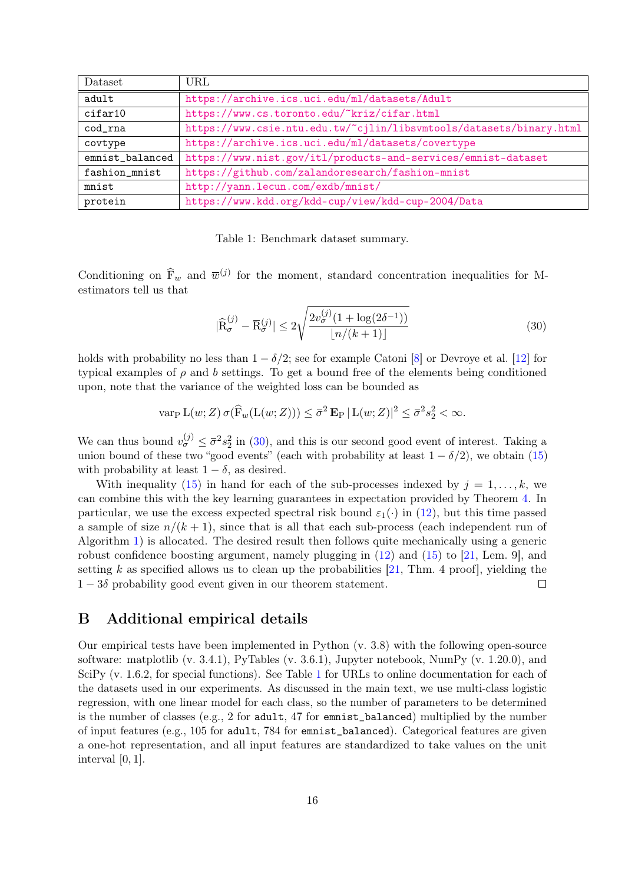<span id="page-15-2"></span>

| Dataset         | URL                                                                 |
|-----------------|---------------------------------------------------------------------|
| adult           | https://archive.ics.uci.edu/ml/datasets/Adult                       |
| cifar10         | https://www.cs.toronto.edu/~kriz/cifar.html                         |
| $cod\_rna$      | https://www.csie.ntu.edu.tw/~cjlin/libsvmtools/datasets/binary.html |
| covtype         | https://archive.ics.uci.edu/ml/datasets/covertype                   |
| emnist_balanced | https://www.nist.gov/itl/products-and-services/emnist-dataset       |
| fashion_mnist   | https://github.com/zalandoresearch/fashion-mnist                    |
| mnist           | http://yann.lecun.com/exdb/mnist/                                   |
| protein         | https://www.kdd.org/kdd-cup/view/kdd-cup-2004/Data                  |

Table 1: Benchmark dataset summary.

Conditioning on  $\hat{F}_w$  and  $\overline{w}^{(j)}$  for the moment, standard concentration inequalities for Mestimators tell us that

<span id="page-15-1"></span>
$$
|\widehat{\mathcal{R}}_{\sigma}^{(j)} - \overline{\mathcal{R}}_{\sigma}^{(j)}| \le 2\sqrt{\frac{2v_{\sigma}^{(j)}(1 + \log(2\delta^{-1}))}{\lfloor n/(k+1) \rfloor}}\tag{30}
$$

holds with probability no less than  $1 - \delta/2$ ; see for example Catoni [\[8\]](#page-16-9) or Devroye et al. [\[12\]](#page-16-10) for typical examples of  $\rho$  and  $b$  settings. To get a bound free of the elements being conditioned upon, note that the variance of the weighted loss can be bounded as

$$
\operatorname{var}_{\mathcal{P}} \mathcal{L}(w; Z) \sigma(\widehat{F}_w(\mathcal{L}(w; Z))) \leq \overline{\sigma}^2 \mathbf{E}_{\mathcal{P}} |\mathcal{L}(w; Z)|^2 \leq \overline{\sigma}^2 s_2^2 < \infty.
$$

We can thus bound  $v_{\sigma}^{(j)} \leq \bar{\sigma}^2 s_2^2$  in [\(30\)](#page-15-1), and this is our second good event of interest. Taking a union bound of these two "good events" (each with probability at least  $1 - \delta/2$ ), we obtain [\(15\)](#page-6-1) with probability at least  $1 - \delta$ , as desired.

With inequality [\(15\)](#page-6-1) in hand for each of the sub-processes indexed by  $j = 1, \ldots, k$ , we can combine this with the key learning guarantees in expectation provided by Theorem [4.](#page-5-0) In particular, we use the excess expected spectral risk bound  $\varepsilon_1(\cdot)$  in [\(12\)](#page-5-1), but this time passed a sample of size  $n/(k+1)$ , since that is all that each sub-process (each independent run of Algorithm [1\)](#page-4-1) is allocated. The desired result then follows quite mechanically using a generic robust confidence boosting argument, namely plugging in  $(12)$  and  $(15)$  to  $[21, \text{ Lem. } 9]$  $[21, \text{ Lem. } 9]$ , and setting k as specified allows us to clean up the probabilities  $[21, Thm. 4 \text{ proof}]$  $[21, Thm. 4 \text{ proof}]$ , yielding the  $1-3\delta$  probability good event given in our theorem statement.  $\Box$ 

### <span id="page-15-0"></span>B Additional empirical details

Our empirical tests have been implemented in Python (v. 3.8) with the following open-source software: matplotlib (v. 3.4.1), PyTables (v. 3.6.1), Jupyter notebook, NumPy (v. 1.20.0), and SciPy (v. 1.6.2, for special functions). See Table [1](#page-15-2) for URLs to online documentation for each of the datasets used in our experiments. As discussed in the main text, we use multi-class logistic regression, with one linear model for each class, so the number of parameters to be determined is the number of classes (e.g., 2 for adult, 47 for emnist\_balanced) multiplied by the number of input features (e.g., 105 for adult, 784 for emnist\_balanced). Categorical features are given a one-hot representation, and all input features are standardized to take values on the unit interval [0, 1].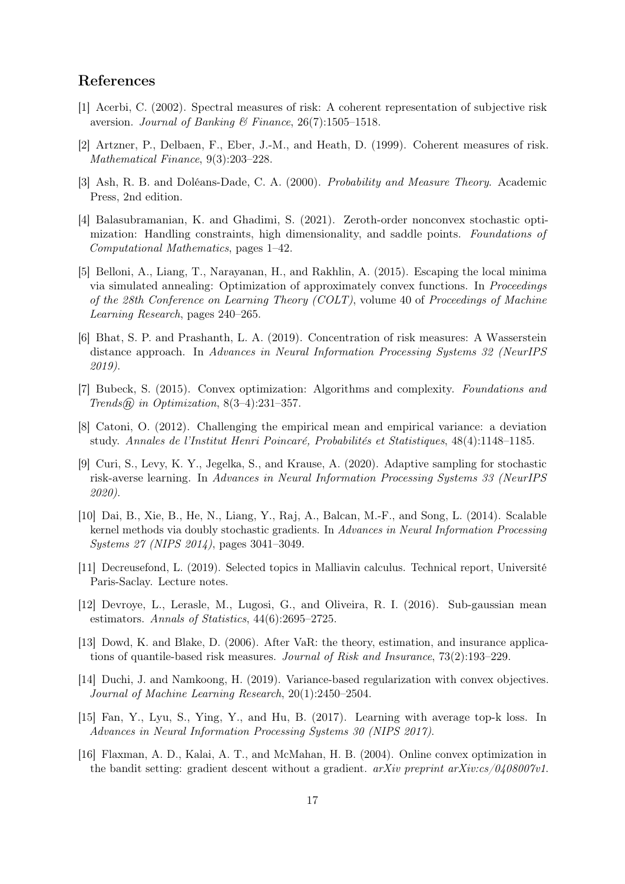### References

- <span id="page-16-1"></span>[1] Acerbi, C. (2002). Spectral measures of risk: A coherent representation of subjective risk aversion. Journal of Banking & Finance,  $26(7)$ :1505-1518.
- <span id="page-16-2"></span>[2] Artzner, P., Delbaen, F., Eber, J.-M., and Heath, D. (1999). Coherent measures of risk. Mathematical Finance, 9(3):203–228.
- <span id="page-16-14"></span>[3] Ash, R. B. and Doléans-Dade, C. A. (2000). Probability and Measure Theory. Academic Press, 2nd edition.
- <span id="page-16-8"></span>[4] Balasubramanian, K. and Ghadimi, S. (2021). Zeroth-order nonconvex stochastic optimization: Handling constraints, high dimensionality, and saddle points. Foundations of Computational Mathematics, pages 1–42.
- <span id="page-16-7"></span>[5] Belloni, A., Liang, T., Narayanan, H., and Rakhlin, A. (2015). Escaping the local minima via simulated annealing: Optimization of approximately convex functions. In Proceedings of the 28th Conference on Learning Theory (COLT), volume 40 of Proceedings of Machine Learning Research, pages 240–265.
- <span id="page-16-5"></span>[6] Bhat, S. P. and Prashanth, L. A. (2019). Concentration of risk measures: A Wasserstein distance approach. In Advances in Neural Information Processing Systems 32 (NeurIPS 2019).
- <span id="page-16-15"></span>[7] Bubeck, S. (2015). Convex optimization: Algorithms and complexity. Foundations and Trends $\mathcal{R}$  in Optimization, 8(3-4):231-357.
- <span id="page-16-9"></span>[8] Catoni, O. (2012). Challenging the empirical mean and empirical variance: a deviation study. Annales de l'Institut Henri Poincaré, Probabilités et Statistiques, 48(4):1148–1185.
- <span id="page-16-0"></span>[9] Curi, S., Levy, K. Y., Jegelka, S., and Krause, A. (2020). Adaptive sampling for stochastic risk-averse learning. In Advances in Neural Information Processing Systems 33 (NeurIPS 2020).
- <span id="page-16-12"></span>[10] Dai, B., Xie, B., He, N., Liang, Y., Raj, A., Balcan, M.-F., and Song, L. (2014). Scalable kernel methods via doubly stochastic gradients. In Advances in Neural Information Processing Systems 27 (NIPS 2014), pages 3041–3049.
- <span id="page-16-13"></span>[11] Decreusefond, L. (2019). Selected topics in Malliavin calculus. Technical report, Université Paris-Saclay. Lecture notes.
- <span id="page-16-10"></span>[12] Devroye, L., Lerasle, M., Lugosi, G., and Oliveira, R. I. (2016). Sub-gaussian mean estimators. Annals of Statistics, 44(6):2695–2725.
- <span id="page-16-11"></span>[13] Dowd, K. and Blake, D. (2006). After VaR: the theory, estimation, and insurance applications of quantile-based risk measures. Journal of Risk and Insurance, 73(2):193–229.
- <span id="page-16-3"></span>[14] Duchi, J. and Namkoong, H. (2019). Variance-based regularization with convex objectives. Journal of Machine Learning Research, 20(1):2450–2504.
- <span id="page-16-4"></span>[15] Fan, Y., Lyu, S., Ying, Y., and Hu, B. (2017). Learning with average top-k loss. In Advances in Neural Information Processing Systems 30 (NIPS 2017).
- <span id="page-16-6"></span>[16] Flaxman, A. D., Kalai, A. T., and McMahan, H. B. (2004). Online convex optimization in the bandit setting: gradient descent without a gradient.  $arXiv$  preprint  $arXiv:cs/0408007v1$ .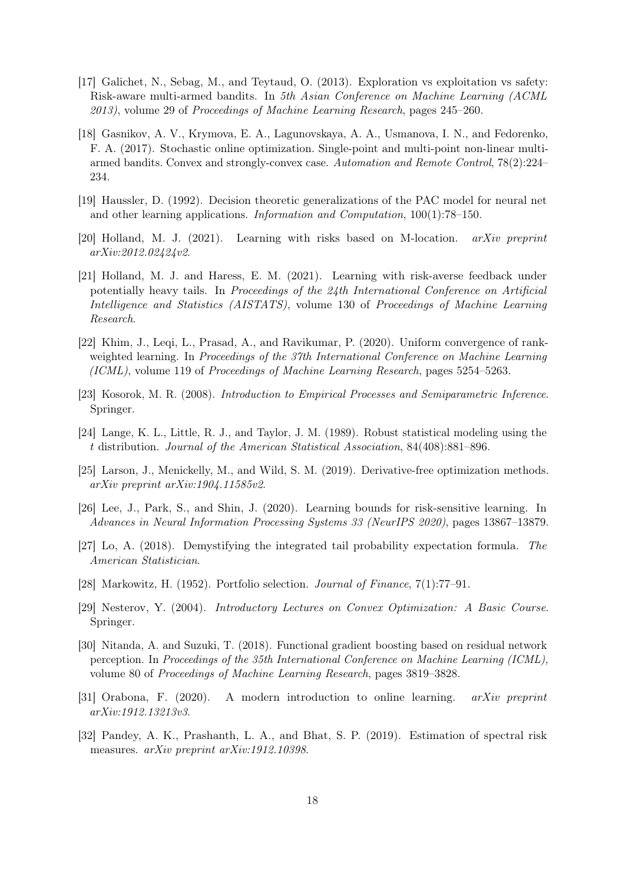- <span id="page-17-1"></span>[17] Galichet, N., Sebag, M., and Teytaud, O. (2013). Exploration vs exploitation vs safety: Risk-aware multi-armed bandits. In 5th Asian Conference on Machine Learning (ACML 2013), volume 29 of Proceedings of Machine Learning Research, pages 245–260.
- <span id="page-17-8"></span>[18] Gasnikov, A. V., Krymova, E. A., Lagunovskaya, A. A., Usmanova, I. N., and Fedorenko, F. A. (2017). Stochastic online optimization. Single-point and multi-point non-linear multiarmed bandits. Convex and strongly-convex case. Automation and Remote Control, 78(2):224– 234.
- <span id="page-17-0"></span>[19] Haussler, D. (1992). Decision theoretic generalizations of the PAC model for neural net and other learning applications. Information and Computation, 100(1):78–150.
- <span id="page-17-5"></span>[20] Holland, M. J. (2021). Learning with risks based on M-location. arXiv preprint arXiv:2012.02424v2.
- <span id="page-17-2"></span>[21] Holland, M. J. and Haress, E. M. (2021). Learning with risk-averse feedback under potentially heavy tails. In Proceedings of the 24th International Conference on Artificial Intelligence and Statistics (AISTATS), volume 130 of Proceedings of Machine Learning Research.
- <span id="page-17-7"></span>[22] Khim, J., Leqi, L., Prasad, A., and Ravikumar, P. (2020). Uniform convergence of rankweighted learning. In Proceedings of the 37th International Conference on Machine Learning (ICML), volume 119 of Proceedings of Machine Learning Research, pages 5254–5263.
- <span id="page-17-15"></span>[23] Kosorok, M. R. (2008). Introduction to Empirical Processes and Semiparametric Inference. Springer.
- <span id="page-17-10"></span>[24] Lange, K. L., Little, R. J., and Taylor, J. M. (1989). Robust statistical modeling using the t distribution. Journal of the American Statistical Association, 84(408):881–896.
- <span id="page-17-9"></span>[25] Larson, J., Menickelly, M., and Wild, S. M. (2019). Derivative-free optimization methods. arXiv preprint arXiv:1904.11585v2.
- <span id="page-17-4"></span>[26] Lee, J., Park, S., and Shin, J. (2020). Learning bounds for risk-sensitive learning. In Advances in Neural Information Processing Systems 33 (NeurIPS 2020), pages 13867–13879.
- <span id="page-17-14"></span>[27] Lo, A. (2018). Demystifying the integrated tail probability expectation formula. The American Statistician.
- <span id="page-17-3"></span>[28] Markowitz, H. (1952). Portfolio selection. Journal of Finance, 7(1):77–91.
- <span id="page-17-12"></span>[29] Nesterov, Y. (2004). Introductory Lectures on Convex Optimization: A Basic Course. Springer.
- <span id="page-17-11"></span>[30] Nitanda, A. and Suzuki, T. (2018). Functional gradient boosting based on residual network perception. In Proceedings of the 35th International Conference on Machine Learning (ICML), volume 80 of Proceedings of Machine Learning Research, pages 3819–3828.
- <span id="page-17-13"></span>[31] Orabona, F. (2020). A modern introduction to online learning. arXiv preprint arXiv:1912.13213v3.
- <span id="page-17-6"></span>[32] Pandey, A. K., Prashanth, L. A., and Bhat, S. P. (2019). Estimation of spectral risk measures. arXiv preprint arXiv:1912.10398.